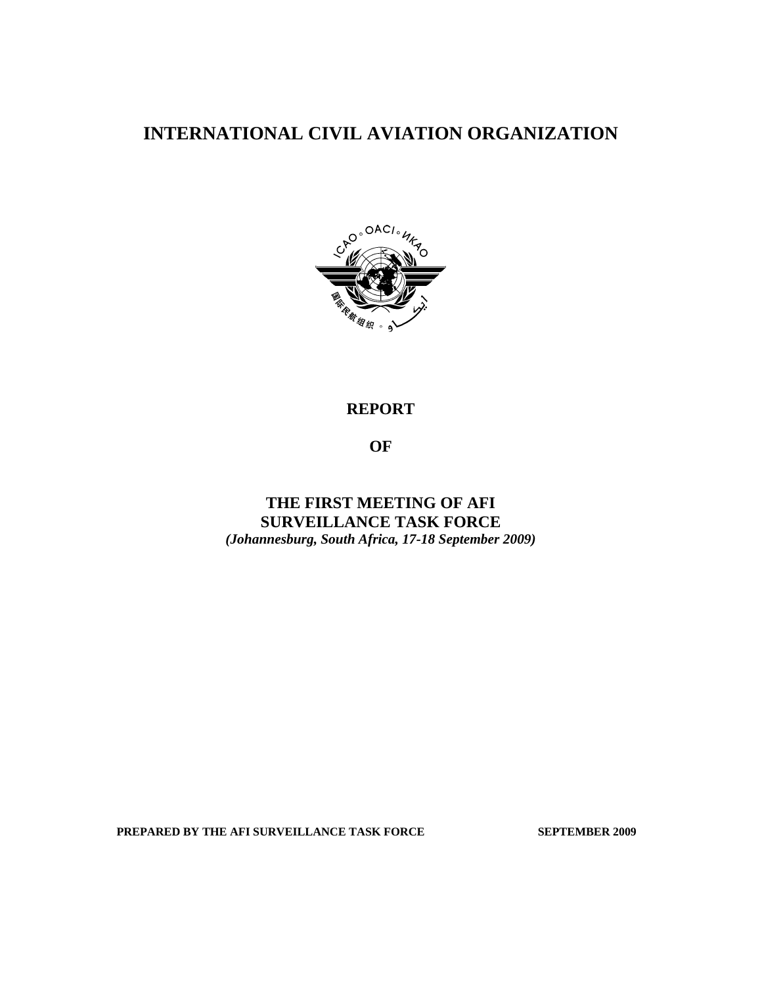# **INTERNATIONAL CIVIL AVIATION ORGANIZATION**



# **REPORT**

**OF** 

**THE FIRST MEETING OF AFI SURVEILLANCE TASK FORCE**  *(Johannesburg, South Africa, 17-18 September 2009)* 

PREPARED BY THE AFI SURVEILLANCE TASK FORCE SEPTEMBER 2009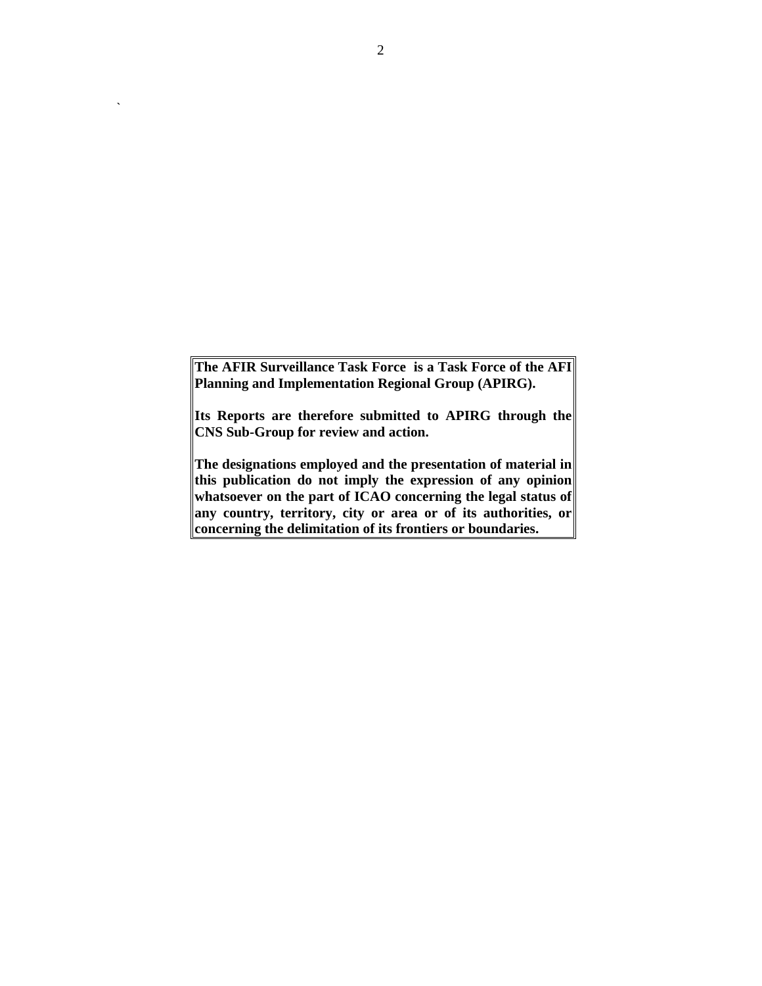**The AFIR Surveillance Task Force is a Task Force of the AFI Planning and Implementation Regional Group (APIRG).** 

**Its Reports are therefore submitted to APIRG through the CNS Sub-Group for review and action.** 

**The designations employed and the presentation of material in this publication do not imply the expression of any opinion whatsoever on the part of ICAO concerning the legal status of any country, territory, city or area or of its authorities, or concerning the delimitation of its frontiers or boundaries.** 

**`**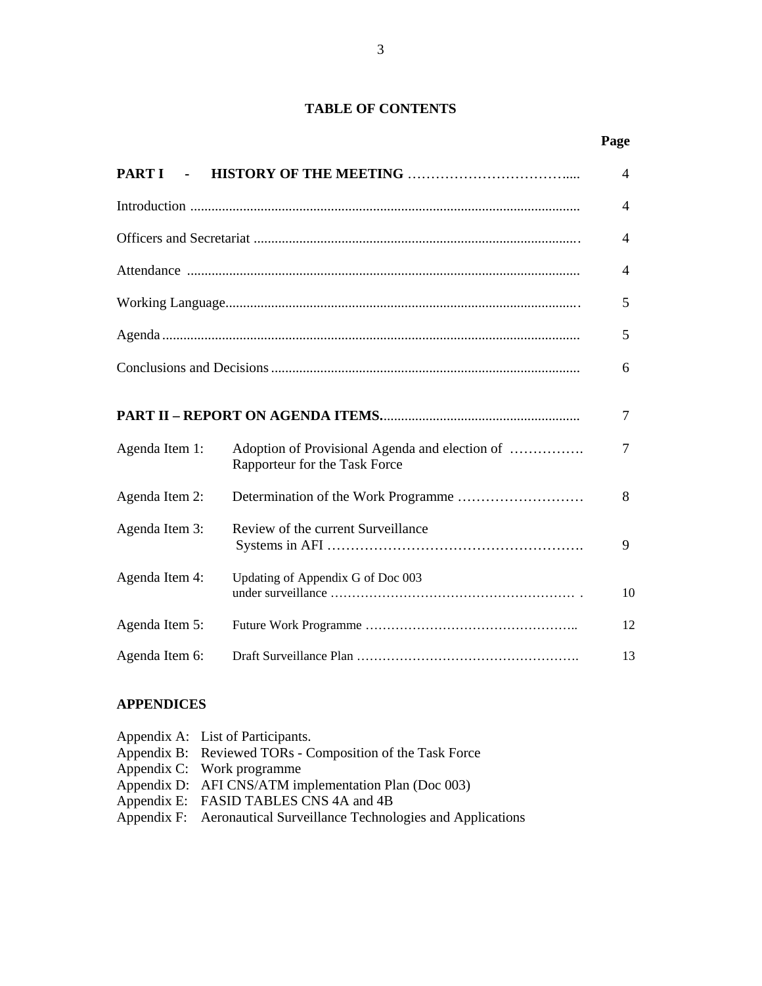# **TABLE OF CONTENTS**

|                |                                                                                 | Page |  |  |  |
|----------------|---------------------------------------------------------------------------------|------|--|--|--|
| <b>PART I</b>  |                                                                                 | 4    |  |  |  |
|                |                                                                                 | 4    |  |  |  |
|                |                                                                                 | 4    |  |  |  |
|                |                                                                                 | 4    |  |  |  |
|                |                                                                                 | 5    |  |  |  |
|                |                                                                                 | 5    |  |  |  |
|                |                                                                                 |      |  |  |  |
|                |                                                                                 | 7    |  |  |  |
| Agenda Item 1: | Adoption of Provisional Agenda and election of<br>Rapporteur for the Task Force | 7    |  |  |  |
| Agenda Item 2: |                                                                                 | 8    |  |  |  |
| Agenda Item 3: | Review of the current Surveillance                                              | 9    |  |  |  |
| Agenda Item 4: | Updating of Appendix G of Doc 003                                               | 10   |  |  |  |
| Agenda Item 5: |                                                                                 | 12   |  |  |  |
| Agenda Item 6: |                                                                                 | 13   |  |  |  |

# **APPENDICES**

| Appendix B: Reviewed TORs - Composition of the Task Force           |
|---------------------------------------------------------------------|
|                                                                     |
| Appendix D: AFI CNS/ATM implementation Plan (Doc 003)               |
| Appendix E: FASID TABLES CNS 4A and 4B                              |
| Appendix F: Aeronautical Surveillance Technologies and Applications |
|                                                                     |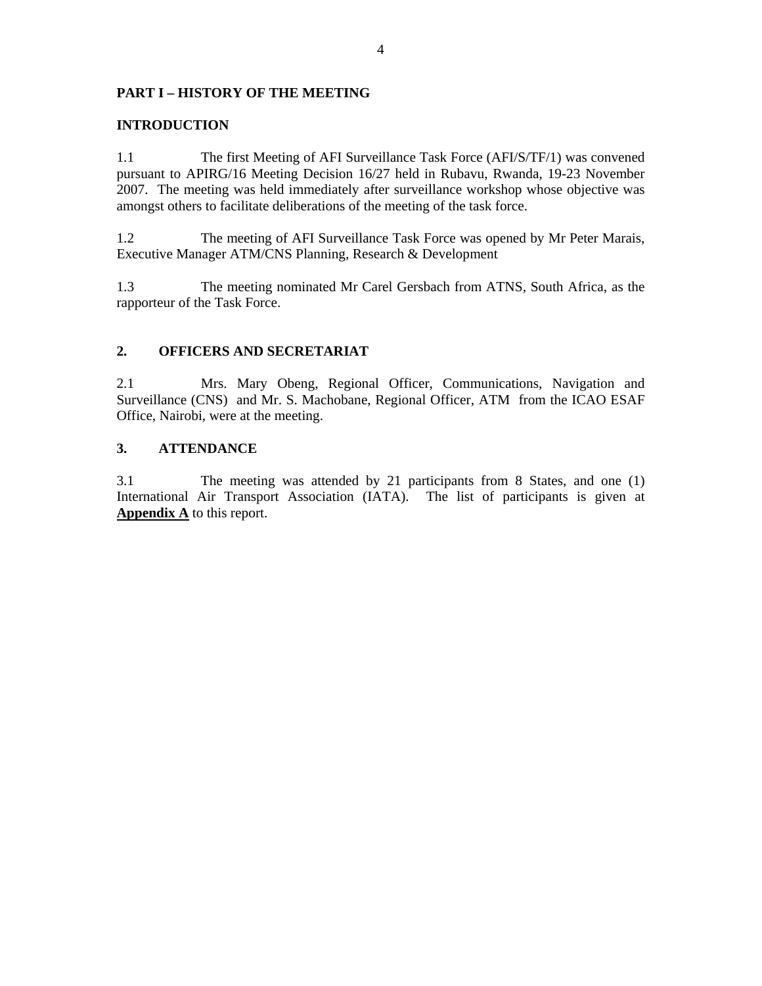## **PART I – HISTORY OF THE MEETING**

## **INTRODUCTION**

1.1 The first Meeting of AFI Surveillance Task Force (AFI/S/TF/1) was convened pursuant to APIRG/16 Meeting Decision 16/27 held in Rubavu, Rwanda, 19-23 November 2007. The meeting was held immediately after surveillance workshop whose objective was amongst others to facilitate deliberations of the meeting of the task force.

1.2 The meeting of AFI Surveillance Task Force was opened by Mr Peter Marais, Executive Manager ATM/CNS Planning, Research & Development

1.3 The meeting nominated Mr Carel Gersbach from ATNS, South Africa, as the rapporteur of the Task Force.

## **2. OFFICERS AND SECRETARIAT**

2.1 Mrs. Mary Obeng, Regional Officer, Communications, Navigation and Surveillance (CNS) and Mr. S. Machobane, Regional Officer, ATM from the ICAO ESAF Office, Nairobi, were at the meeting.

## **3. ATTENDANCE**

3.1 The meeting was attended by 21 participants from 8 States, and one (1) International Air Transport Association (IATA). The list of participants is given at **Appendix A** to this report.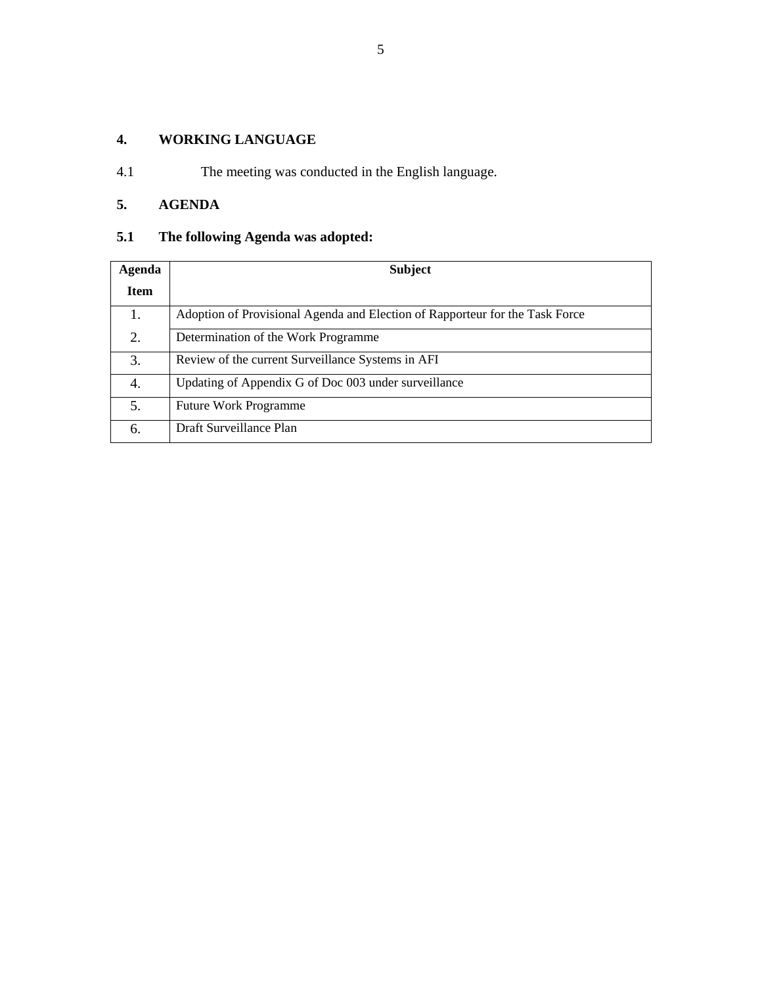# **4. WORKING LANGUAGE**

4.1 The meeting was conducted in the English language.

# **5. AGENDA**

# **5.1 The following Agenda was adopted:**

| Agenda      | <b>Subject</b>                                                               |
|-------------|------------------------------------------------------------------------------|
| <b>Item</b> |                                                                              |
| 1.          | Adoption of Provisional Agenda and Election of Rapporteur for the Task Force |
| 2.          | Determination of the Work Programme                                          |
| 3.          | Review of the current Surveillance Systems in AFI                            |
| 4.          | Updating of Appendix G of Doc 003 under surveillance                         |
| 5.          | <b>Future Work Programme</b>                                                 |
| 6.          | Draft Surveillance Plan                                                      |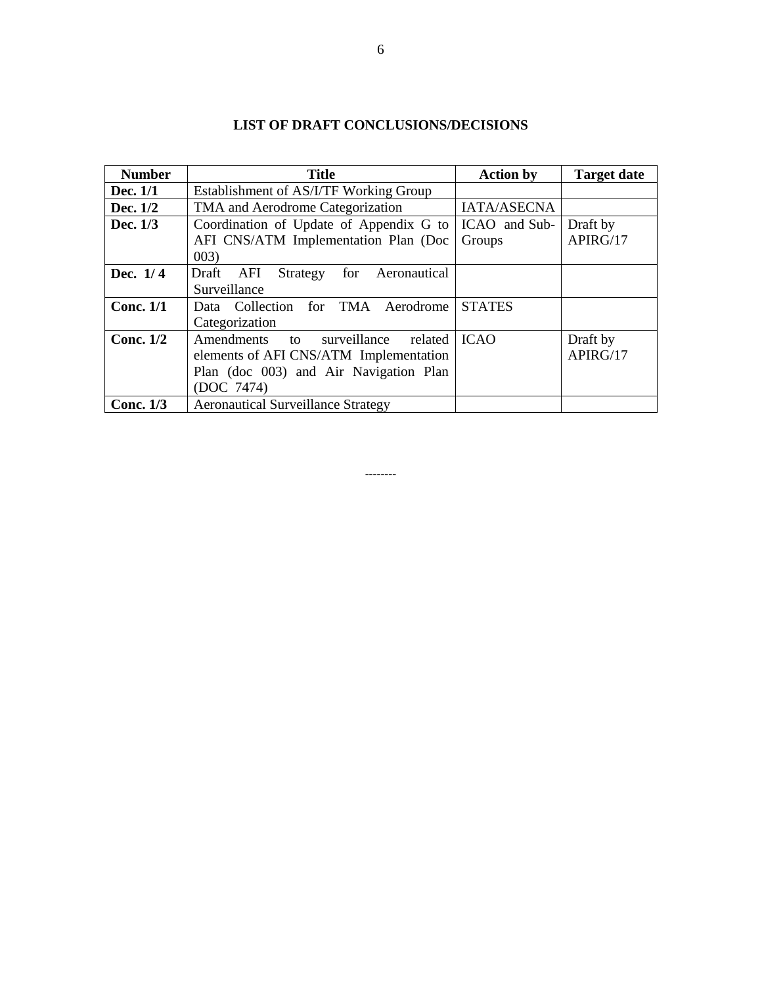| <b>LIST OF DRAFT CONCLUSIONS/DECISIONS</b> |  |
|--------------------------------------------|--|
|--------------------------------------------|--|

| <b>Number</b> | <b>Title</b>                                            | <b>Action by</b> | <b>Target date</b> |  |
|---------------|---------------------------------------------------------|------------------|--------------------|--|
| Dec. 1/1      | Establishment of AS/I/TF Working Group                  |                  |                    |  |
| Dec. 1/2      | TMA and Aerodrome Categorization                        | IATA/ASECNA      |                    |  |
| Dec. 1/3      | Coordination of Update of Appendix G to   ICAO and Sub- |                  | Draft by           |  |
|               | AFI CNS/ATM Implementation Plan (Doc                    | Groups           | APIRG/17           |  |
|               | 003)                                                    |                  |                    |  |
| Dec. $1/4$    | Draft<br>for Aeronautical<br>AFI<br>Strategy            |                  |                    |  |
|               | Surveillance                                            |                  |                    |  |
| Conc. $1/1$   | Data Collection for TMA Aerodrome                       | <b>STATES</b>    |                    |  |
|               | Categorization                                          |                  |                    |  |
| Conc. $1/2$   | Amendments to<br>surveillance<br>related                | <b>ICAO</b>      | Draft by           |  |
|               | elements of AFI CNS/ATM Implementation                  |                  | APIRG/17           |  |
|               | Plan (doc 003) and Air Navigation Plan                  |                  |                    |  |
|               | (DOC 7474)                                              |                  |                    |  |
| Conc. $1/3$   | <b>Aeronautical Surveillance Strategy</b>               |                  |                    |  |

--------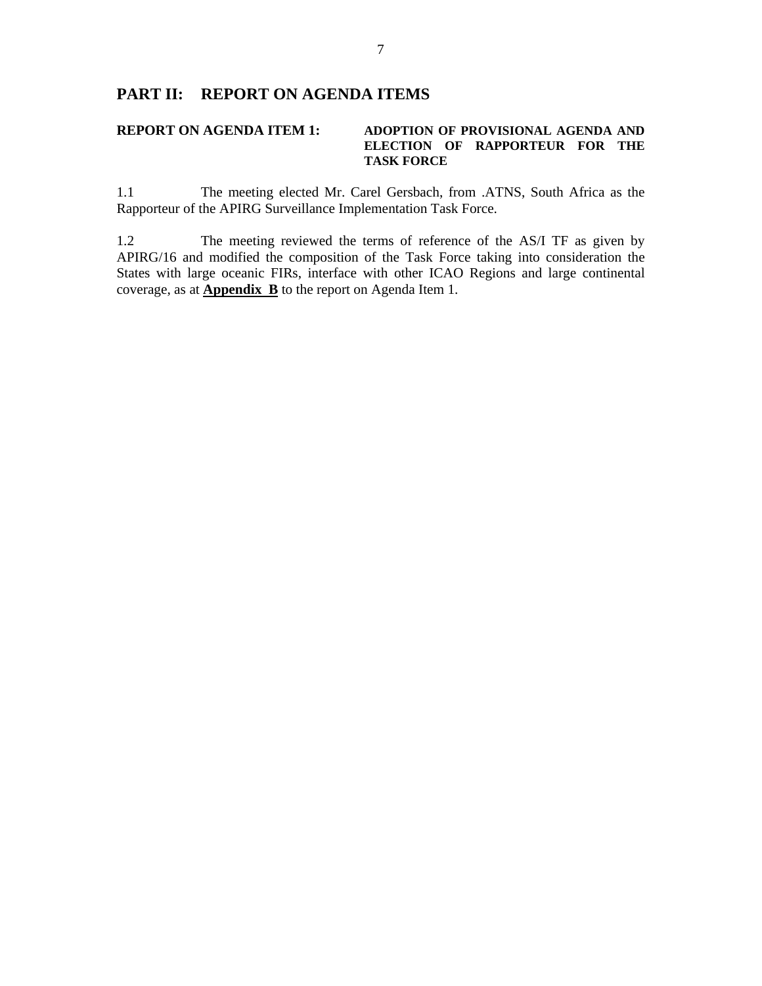## **PART II: REPORT ON AGENDA ITEMS**

### **REPORT ON AGENDA ITEM 1: ADOPTION OF PROVISIONAL AGENDA AND ELECTION OF RAPPORTEUR FOR THE TASK FORCE**

1.1 The meeting elected Mr. Carel Gersbach, from .ATNS, South Africa as the Rapporteur of the APIRG Surveillance Implementation Task Force.

1.2 The meeting reviewed the terms of reference of the AS/I TF as given by APIRG/16 and modified the composition of the Task Force taking into consideration the States with large oceanic FIRs, interface with other ICAO Regions and large continental coverage, as at **Appendix B** to the report on Agenda Item 1.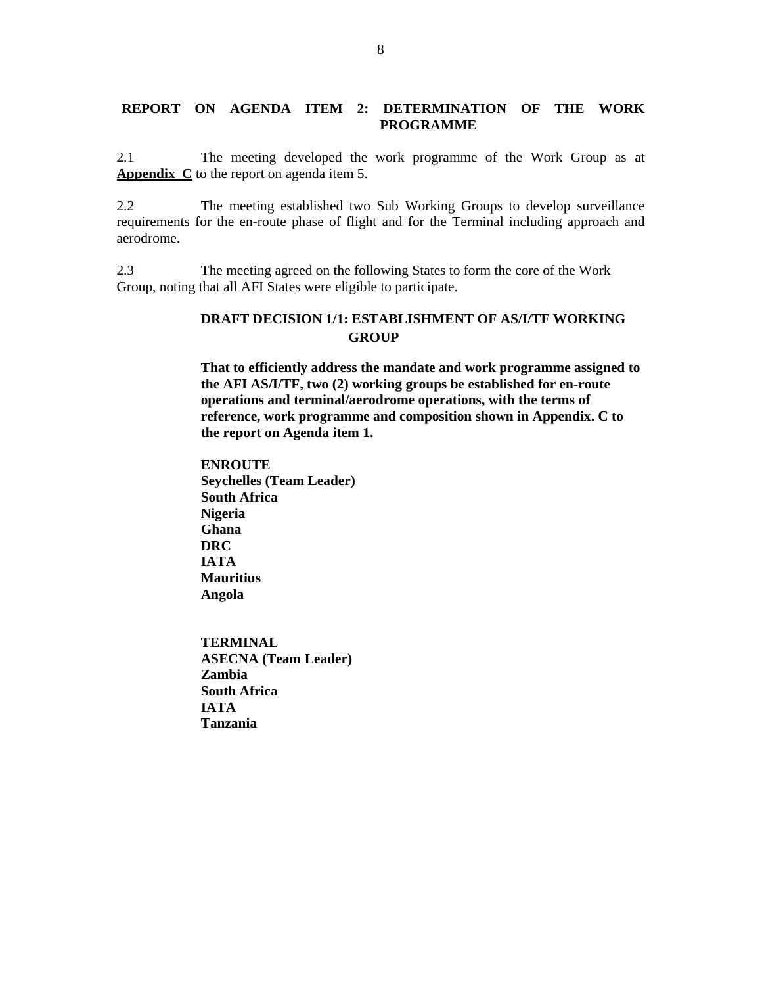## **REPORT ON AGENDA ITEM 2: DETERMINATION OF THE WORK PROGRAMME**

2.1 The meeting developed the work programme of the Work Group as at **Appendix C** to the report on agenda item 5.

2.2 The meeting established two Sub Working Groups to develop surveillance requirements for the en-route phase of flight and for the Terminal including approach and aerodrome.

2.3 The meeting agreed on the following States to form the core of the Work Group, noting that all AFI States were eligible to participate.

## **DRAFT DECISION 1/1: ESTABLISHMENT OF AS/I/TF WORKING GROUP**

**That to efficiently address the mandate and work programme assigned to the AFI AS/I/TF, two (2) working groups be established for en-route operations and terminal/aerodrome operations, with the terms of reference, work programme and composition shown in Appendix. C to the report on Agenda item 1.** 

**ENROUTE Seychelles (Team Leader) South Africa Nigeria Ghana DRC IATA Mauritius Angola** 

**TERMINAL ASECNA (Team Leader) Zambia South Africa IATA Tanzania**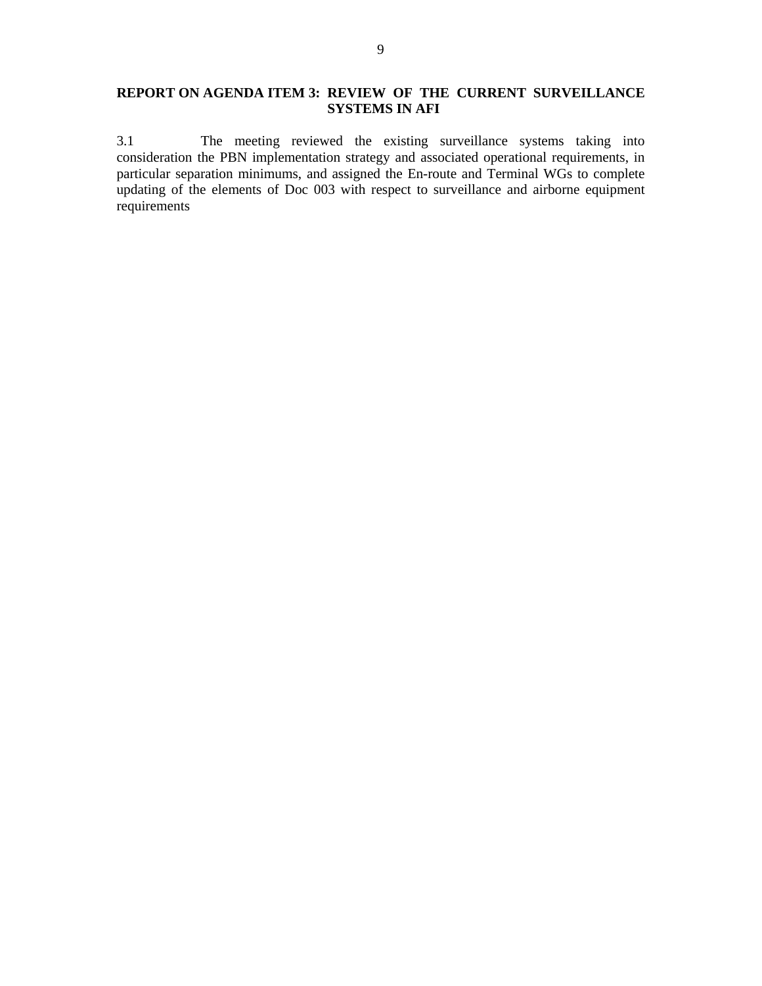# **REPORT ON AGENDA ITEM 3: REVIEW OF THE CURRENT SURVEILLANCE SYSTEMS IN AFI**

3.1 The meeting reviewed the existing surveillance systems taking into consideration the PBN implementation strategy and associated operational requirements, in particular separation minimums, and assigned the En-route and Terminal WGs to complete updating of the elements of Doc 003 with respect to surveillance and airborne equipment requirements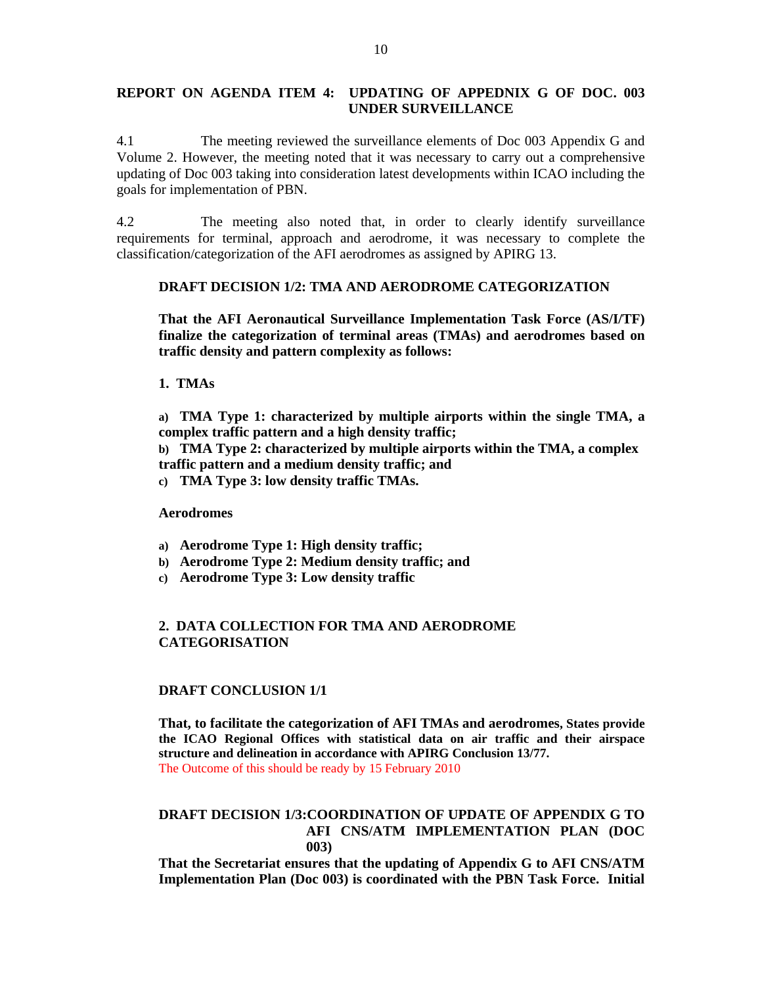## **REPORT ON AGENDA ITEM 4: UPDATING OF APPEDNIX G OF DOC. 003 UNDER SURVEILLANCE**

4.1 The meeting reviewed the surveillance elements of Doc 003 Appendix G and Volume 2. However, the meeting noted that it was necessary to carry out a comprehensive updating of Doc 003 taking into consideration latest developments within ICAO including the goals for implementation of PBN.

4.2 The meeting also noted that, in order to clearly identify surveillance requirements for terminal, approach and aerodrome, it was necessary to complete the classification/categorization of the AFI aerodromes as assigned by APIRG 13.

### **DRAFT DECISION 1/2: TMA AND AERODROME CATEGORIZATION**

**That the AFI Aeronautical Surveillance Implementation Task Force (AS/I/TF) finalize the categorization of terminal areas (TMAs) and aerodromes based on traffic density and pattern complexity as follows:** 

**1. TMAs** 

**a) TMA Type 1: characterized by multiple airports within the single TMA, a complex traffic pattern and a high density traffic;** 

**b) TMA Type 2: characterized by multiple airports within the TMA, a complex traffic pattern and a medium density traffic; and** 

**c) TMA Type 3: low density traffic TMAs.** 

**Aerodromes** 

- **a) Aerodrome Type 1: High density traffic;**
- **b) Aerodrome Type 2: Medium density traffic; and**
- **c) Aerodrome Type 3: Low density traffic**

## **2. DATA COLLECTION FOR TMA AND AERODROME CATEGORISATION**

#### **DRAFT CONCLUSION 1/1**

**That, to facilitate the categorization of AFI TMAs and aerodromes, States provide the ICAO Regional Offices with statistical data on air traffic and their airspace structure and delineation in accordance with APIRG Conclusion 13/77.**  The Outcome of this should be ready by 15 February 2010

## **DRAFT DECISION 1/3:COORDINATION OF UPDATE OF APPENDIX G TO AFI CNS/ATM IMPLEMENTATION PLAN (DOC 003)**

**That the Secretariat ensures that the updating of Appendix G to AFI CNS/ATM Implementation Plan (Doc 003) is coordinated with the PBN Task Force. Initial**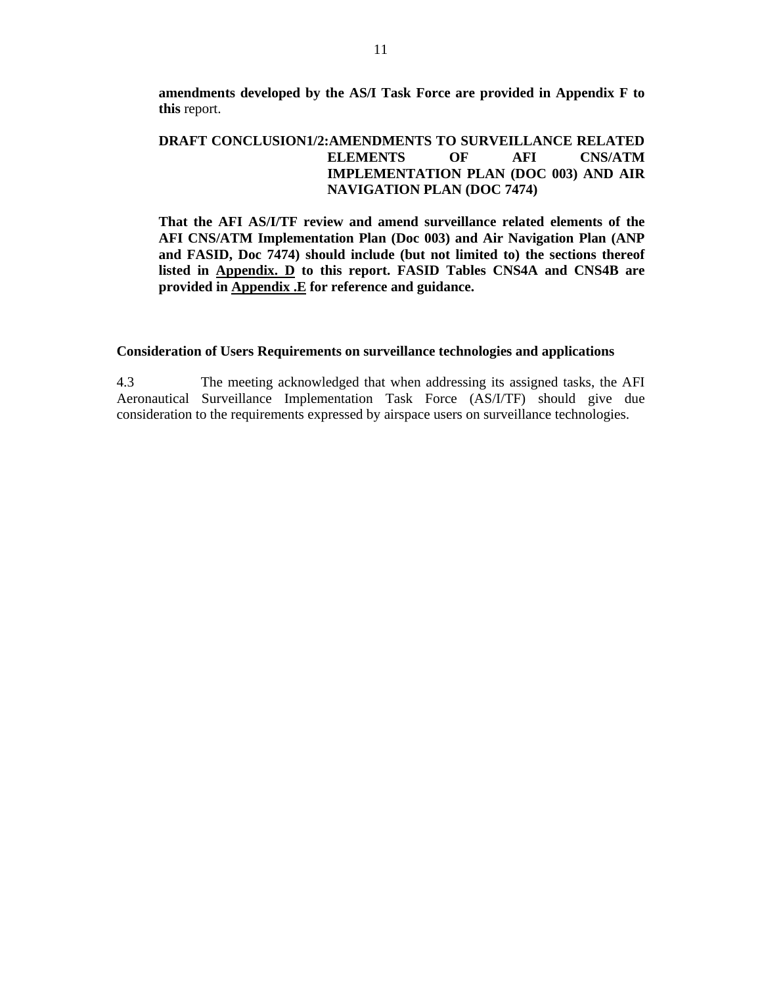**amendments developed by the AS/I Task Force are provided in Appendix F to this** report.

## **DRAFT CONCLUSION1/2:AMENDMENTS TO SURVEILLANCE RELATED ELEMENTS OF AFI CNS/ATM IMPLEMENTATION PLAN (DOC 003) AND AIR NAVIGATION PLAN (DOC 7474)**

**That the AFI AS/I/TF review and amend surveillance related elements of the AFI CNS/ATM Implementation Plan (Doc 003) and Air Navigation Plan (ANP and FASID, Doc 7474) should include (but not limited to) the sections thereof listed in Appendix. D to this report. FASID Tables CNS4A and CNS4B are provided in Appendix .E for reference and guidance.** 

#### **Consideration of Users Requirements on surveillance technologies and applications**

4.3 The meeting acknowledged that when addressing its assigned tasks, the AFI Aeronautical Surveillance Implementation Task Force (AS/I/TF) should give due consideration to the requirements expressed by airspace users on surveillance technologies.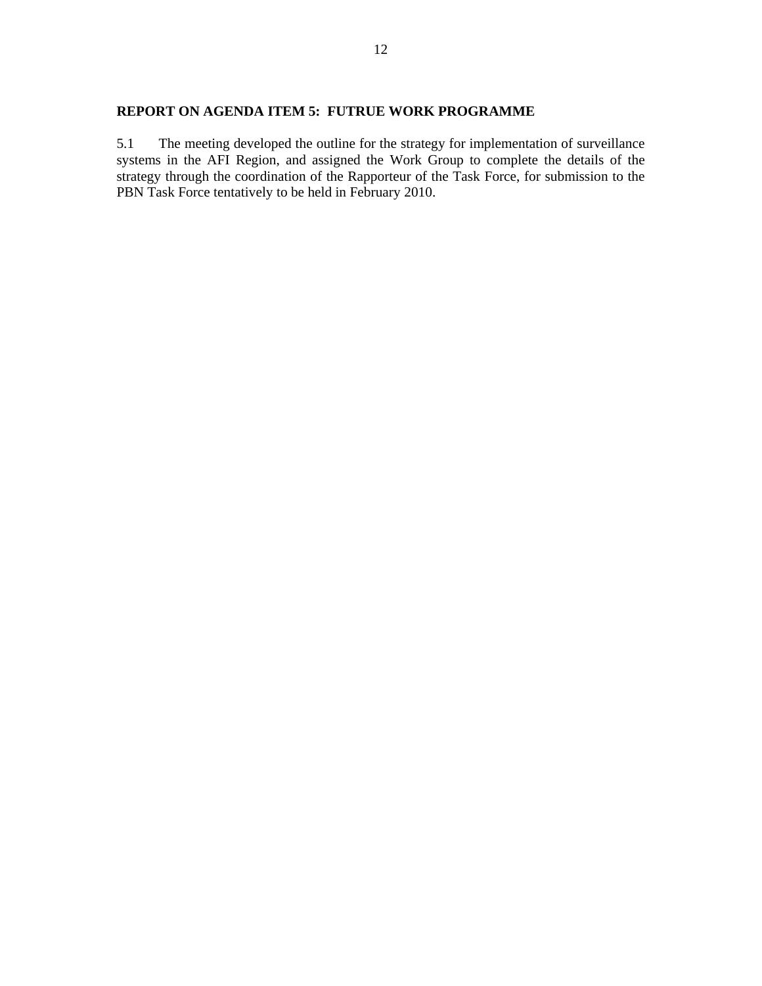## **REPORT ON AGENDA ITEM 5: FUTRUE WORK PROGRAMME**

5.1 The meeting developed the outline for the strategy for implementation of surveillance systems in the AFI Region, and assigned the Work Group to complete the details of the strategy through the coordination of the Rapporteur of the Task Force, for submission to the PBN Task Force tentatively to be held in February 2010.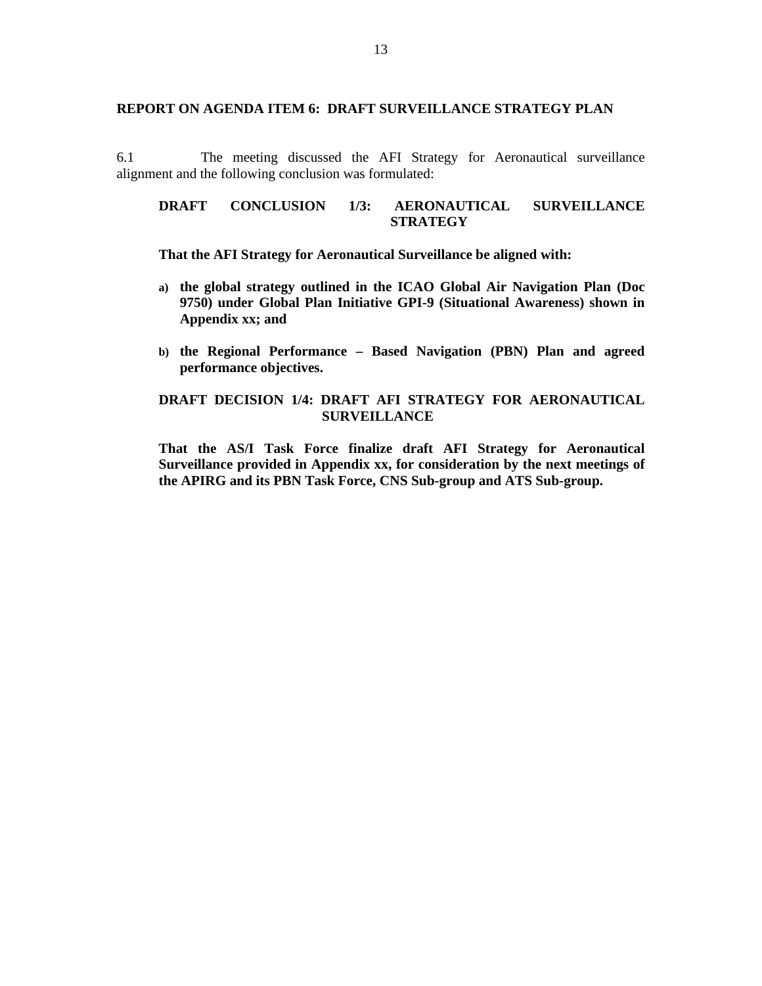#### **REPORT ON AGENDA ITEM 6: DRAFT SURVEILLANCE STRATEGY PLAN**

6.1 The meeting discussed the AFI Strategy for Aeronautical surveillance alignment and the following conclusion was formulated:

## **DRAFT CONCLUSION 1/3: AERONAUTICAL SURVEILLANCE STRATEGY**

### **That the AFI Strategy for Aeronautical Surveillance be aligned with:**

- **a) the global strategy outlined in the ICAO Global Air Navigation Plan (Doc 9750) under Global Plan Initiative GPI-9 (Situational Awareness) shown in Appendix xx; and**
- **b) the Regional Performance Based Navigation (PBN) Plan and agreed performance objectives.**

## **DRAFT DECISION 1/4: DRAFT AFI STRATEGY FOR AERONAUTICAL SURVEILLANCE**

**That the AS/I Task Force finalize draft AFI Strategy for Aeronautical Surveillance provided in Appendix xx, for consideration by the next meetings of the APIRG and its PBN Task Force, CNS Sub-group and ATS Sub-group.**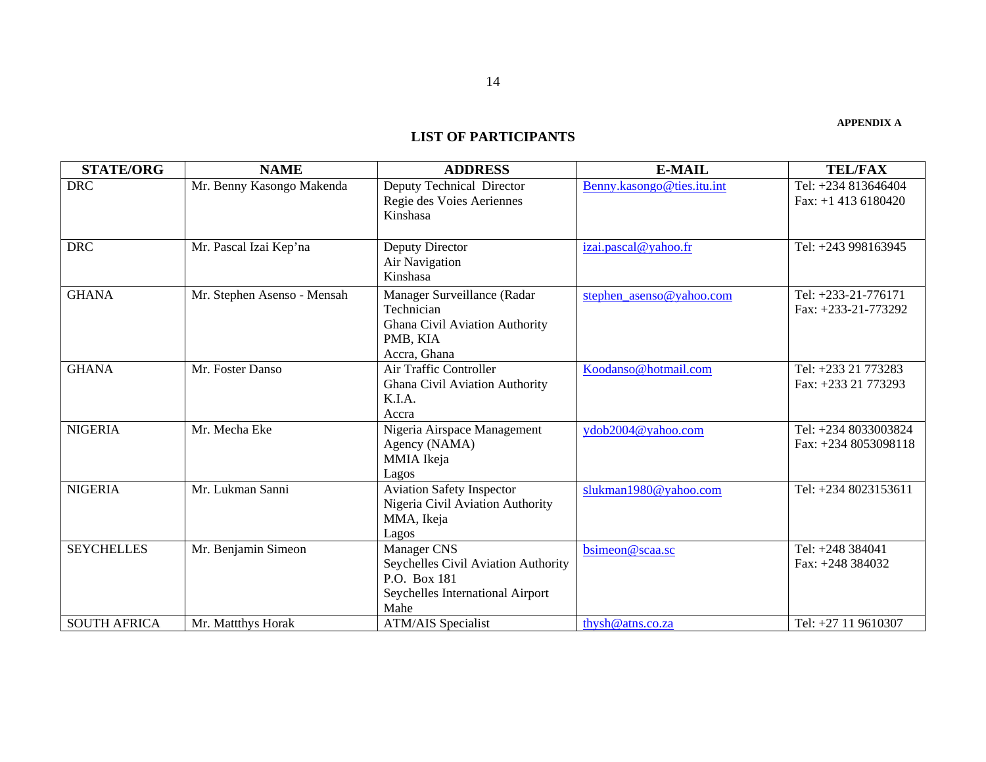#### **APPENDIX A**

#### **LIST OF PARTICIPANTS**

| <b>STATE/ORG</b>    | <b>NAME</b>                 | <b>ADDRESS</b>                      | <b>E-MAIL</b>              | <b>TEL/FAX</b>        |
|---------------------|-----------------------------|-------------------------------------|----------------------------|-----------------------|
| <b>DRC</b>          | Mr. Benny Kasongo Makenda   | Deputy Technical Director           | Benny.kasongo@ties.itu.int | Tel: +234 813646404   |
|                     |                             | Regie des Voies Aeriennes           |                            | Fax: $+1$ 413 6180420 |
|                     |                             | Kinshasa                            |                            |                       |
|                     |                             |                                     |                            |                       |
| <b>DRC</b>          | Mr. Pascal Izai Kep'na      | Deputy Director                     | izai.pascal@yahoo.fr       | Tel: +243 998163945   |
|                     |                             | <b>Air Navigation</b>               |                            |                       |
|                     |                             | Kinshasa                            |                            |                       |
| <b>GHANA</b>        | Mr. Stephen Asenso - Mensah | Manager Surveillance (Radar         | stephen_asenso@yahoo.com   | Tel: +233-21-776171   |
|                     |                             | Technician                          |                            | Fax: +233-21-773292   |
|                     |                             | Ghana Civil Aviation Authority      |                            |                       |
|                     |                             | PMB, KIA                            |                            |                       |
|                     |                             | Accra, Ghana                        |                            |                       |
| <b>GHANA</b>        | Mr. Foster Danso            | Air Traffic Controller              | Koodanso@hotmail.com       | Tel: +233 21 773283   |
|                     |                             | Ghana Civil Aviation Authority      |                            | Fax: +233 21 773293   |
|                     |                             | K.I.A.                              |                            |                       |
|                     |                             | Accra                               |                            |                       |
| <b>NIGERIA</b>      | Mr. Mecha Eke               | Nigeria Airspace Management         | ydob2004@yahoo.com         | Tel: +234 8033003824  |
|                     |                             | Agency (NAMA)                       |                            | Fax: $+2348053098118$ |
|                     |                             | MMIA Ikeja                          |                            |                       |
|                     |                             | Lagos                               |                            |                       |
| <b>NIGERIA</b>      | Mr. Lukman Sanni            | <b>Aviation Safety Inspector</b>    | slukman1980@yahoo.com      | Tel: +234 8023153611  |
|                     |                             | Nigeria Civil Aviation Authority    |                            |                       |
|                     |                             | MMA, Ikeja<br>Lagos                 |                            |                       |
| <b>SEYCHELLES</b>   | Mr. Benjamin Simeon         | Manager CNS                         | bsimeon@scaa.sc            | Tel: +248 384041      |
|                     |                             | Seychelles Civil Aviation Authority |                            | Fax: +248 384032      |
|                     |                             | P.O. Box 181                        |                            |                       |
|                     |                             | Seychelles International Airport    |                            |                       |
|                     |                             | Mahe                                |                            |                       |
| <b>SOUTH AFRICA</b> | Mr. Mattthys Horak          | <b>ATM/AIS</b> Specialist           | thysh@atns.co.za           | Tel: +27 11 9610307   |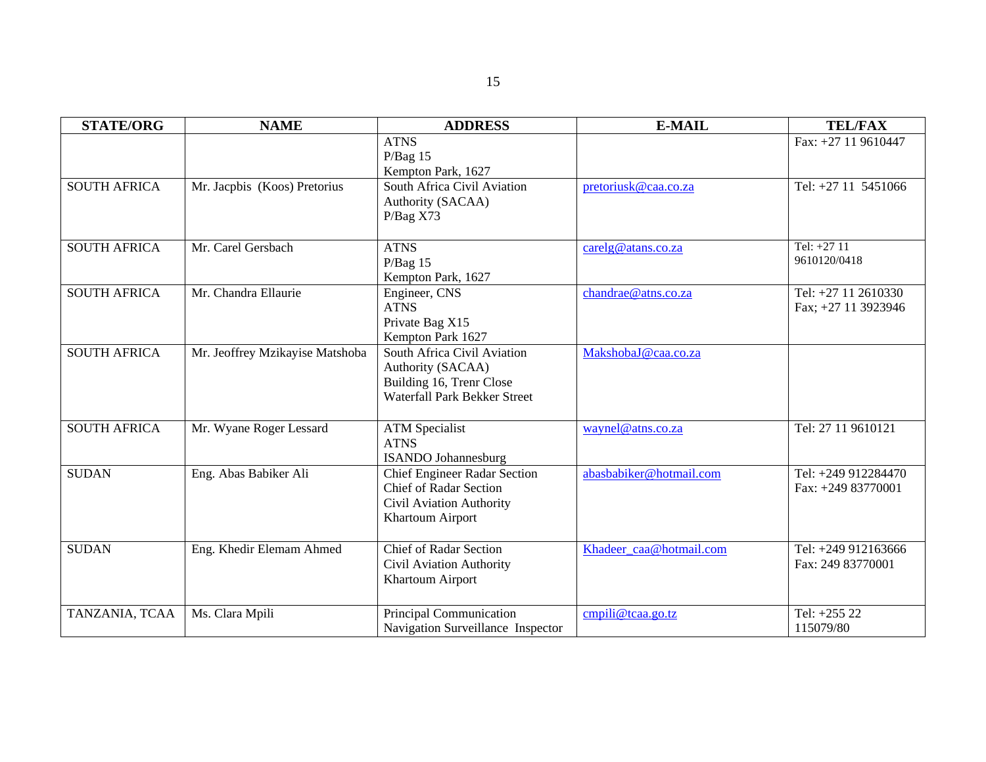| <b>STATE/ORG</b>    | <b>NAME</b>                     | <b>ADDRESS</b>                      | <b>E-MAIL</b>           | <b>TEL/FAX</b>      |
|---------------------|---------------------------------|-------------------------------------|-------------------------|---------------------|
|                     |                                 | <b>ATNS</b>                         |                         | Fax: +27 11 9610447 |
|                     |                                 | $P/Bag$ 15                          |                         |                     |
|                     |                                 | Kempton Park, 1627                  |                         |                     |
| <b>SOUTH AFRICA</b> | Mr. Jacpbis (Koos) Pretorius    | South Africa Civil Aviation         | pretoriusk@caa.co.za    | Tel: +27 11 5451066 |
|                     |                                 | Authority (SACAA)<br>P/Bag X73      |                         |                     |
|                     |                                 |                                     |                         |                     |
| <b>SOUTH AFRICA</b> | Mr. Carel Gersbach              | <b>ATNS</b>                         | carelg@atans.co.za      | Tel: +27 11         |
|                     |                                 | $P/Bag$ 15                          |                         | 9610120/0418        |
|                     |                                 | Kempton Park, 1627                  |                         |                     |
| <b>SOUTH AFRICA</b> | Mr. Chandra Ellaurie            | Engineer, CNS                       | chandrae@atns.co.za     | Tel: +27 11 2610330 |
|                     |                                 | <b>ATNS</b>                         |                         | Fax; +27 11 3923946 |
|                     |                                 | Private Bag X15                     |                         |                     |
|                     |                                 | Kempton Park 1627                   |                         |                     |
| <b>SOUTH AFRICA</b> | Mr. Jeoffrey Mzikayise Matshoba | South Africa Civil Aviation         | MakshobaJ@caa.co.za     |                     |
|                     |                                 | Authority (SACAA)                   |                         |                     |
|                     |                                 | Building 16, Trenr Close            |                         |                     |
|                     |                                 | Waterfall Park Bekker Street        |                         |                     |
| <b>SOUTH AFRICA</b> | Mr. Wyane Roger Lessard         | <b>ATM</b> Specialist               | waynel@atns.co.za       | Tel: 27 11 9610121  |
|                     |                                 | <b>ATNS</b>                         |                         |                     |
|                     |                                 | <b>ISANDO</b> Johannesburg          |                         |                     |
| <b>SUDAN</b>        | Eng. Abas Babiker Ali           | <b>Chief Engineer Radar Section</b> | abasbabiker@hotmail.com | Tel: +249 912284470 |
|                     |                                 | <b>Chief of Radar Section</b>       |                         | Fax: $+24983770001$ |
|                     |                                 | Civil Aviation Authority            |                         |                     |
|                     |                                 | Khartoum Airport                    |                         |                     |
|                     |                                 |                                     |                         |                     |
| <b>SUDAN</b>        | Eng. Khedir Elemam Ahmed        | <b>Chief of Radar Section</b>       | Khadeer caa@hotmail.com | Tel: +249 912163666 |
|                     |                                 | <b>Civil Aviation Authority</b>     |                         | Fax: 249 83770001   |
|                     |                                 | Khartoum Airport                    |                         |                     |
| TANZANIA, TCAA      | Ms. Clara Mpili                 | Principal Communication             | cmpili@tcaa.go.tz       | Tel: +255 22        |
|                     |                                 | Navigation Surveillance Inspector   |                         | 115079/80           |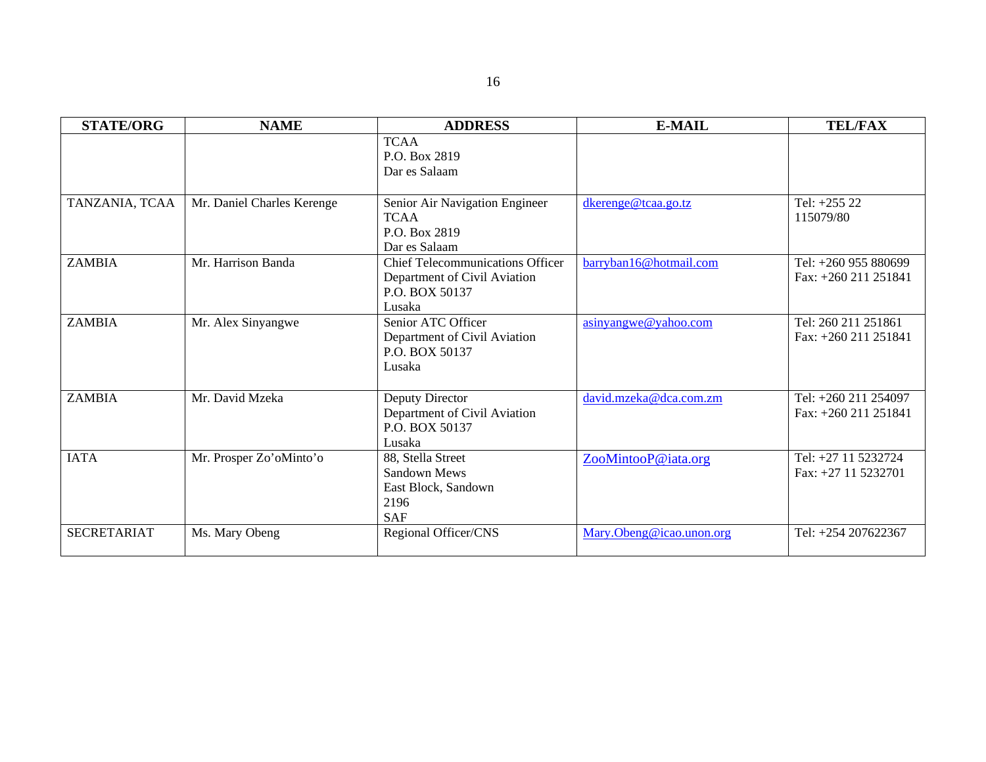| <b>STATE/ORG</b>   | <b>NAME</b>                | <b>ADDRESS</b>                                                                                      | <b>E-MAIL</b>            | <b>TEL/FAX</b>                                 |  |  |
|--------------------|----------------------------|-----------------------------------------------------------------------------------------------------|--------------------------|------------------------------------------------|--|--|
|                    |                            | <b>TCAA</b><br>P.O. Box 2819<br>Dar es Salaam                                                       |                          |                                                |  |  |
| TANZANIA, TCAA     | Mr. Daniel Charles Kerenge | Senior Air Navigation Engineer<br><b>TCAA</b><br>P.O. Box 2819<br>Dar es Salaam                     | dkerenge@tcaa.go.tz      | Tel: $+25522$<br>115079/80                     |  |  |
| <b>ZAMBIA</b>      | Mr. Harrison Banda         | <b>Chief Telecommunications Officer</b><br>Department of Civil Aviation<br>P.O. BOX 50137<br>Lusaka | barryban16@hotmail.com   | Tel: +260 955 880699<br>Fax: $+260$ 211 251841 |  |  |
| <b>ZAMBIA</b>      | Mr. Alex Sinyangwe         | Senior ATC Officer<br>Department of Civil Aviation<br>P.O. BOX 50137<br>Lusaka                      | asinyangwe@yahoo.com     | Tel: 260 211 251861<br>Fax: $+260$ 211 251841  |  |  |
| <b>ZAMBIA</b>      | Mr. David Mzeka            | Deputy Director<br>Department of Civil Aviation<br>P.O. BOX 50137<br>Lusaka                         | david.mzeka@dca.com.zm   | Tel: +260 211 254097<br>Fax: +260 211 251841   |  |  |
| <b>IATA</b>        | Mr. Prosper Zo'oMinto'o    | 88, Stella Street<br><b>Sandown Mews</b><br>East Block, Sandown<br>2196<br><b>SAF</b>               | ZooMintooP@iata.org      | Tel: +27 11 5232724<br>Fax: $+27$ 11 5232701   |  |  |
| <b>SECRETARIAT</b> | Ms. Mary Obeng             | Regional Officer/CNS                                                                                | Mary.Obeng@icao.unon.org | Tel: +254 207622367                            |  |  |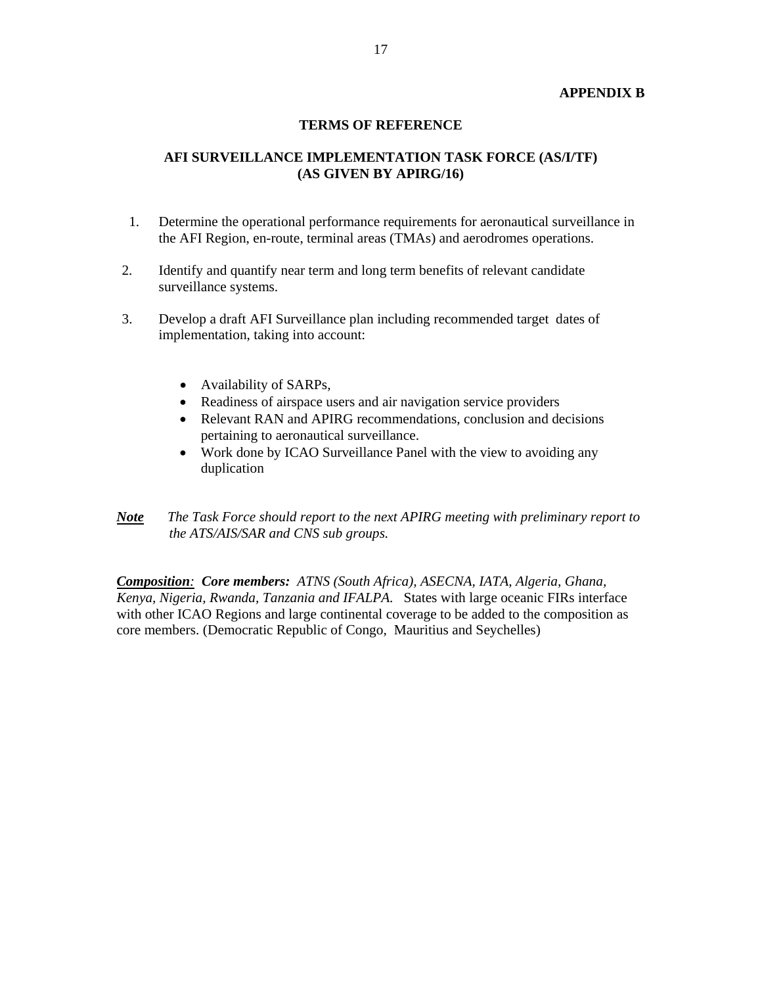### **APPENDIX B**

#### **TERMS OF REFERENCE**

## **AFI SURVEILLANCE IMPLEMENTATION TASK FORCE (AS/I/TF) (AS GIVEN BY APIRG/16)**

- 1. Determine the operational performance requirements for aeronautical surveillance in the AFI Region, en-route, terminal areas (TMAs) and aerodromes operations.
- 2. Identify and quantify near term and long term benefits of relevant candidate surveillance systems.
- 3. Develop a draft AFI Surveillance plan including recommended target dates of implementation, taking into account:
	- Availability of SARPs,
	- Readiness of airspace users and air navigation service providers
	- Relevant RAN and APIRG recommendations, conclusion and decisions pertaining to aeronautical surveillance.
	- Work done by ICAO Surveillance Panel with the view to avoiding any duplication
- *Note The Task Force should report to the next APIRG meeting with preliminary report to the ATS/AIS/SAR and CNS sub groups.*

*Composition: Core members: ATNS (South Africa), ASECNA, IATA, Algeria, Ghana, Kenya, Nigeria, Rwanda, Tanzania and IFALPA.* States with large oceanic FIRs interface with other ICAO Regions and large continental coverage to be added to the composition as core members. (Democratic Republic of Congo, Mauritius and Seychelles)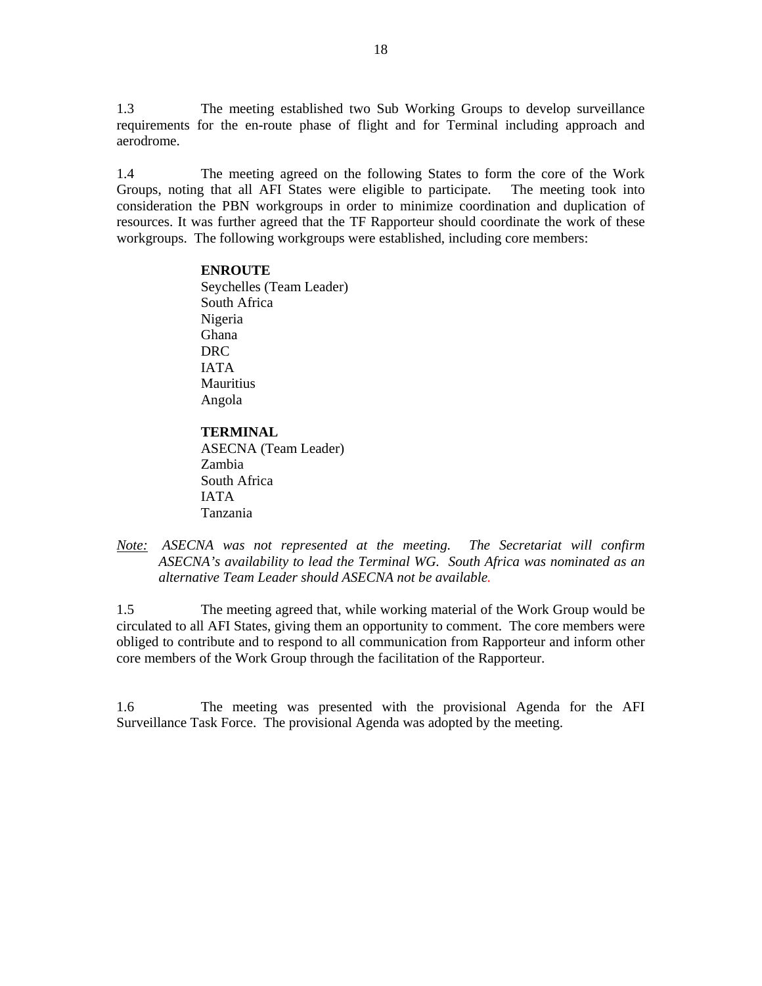1.3 The meeting established two Sub Working Groups to develop surveillance requirements for the en-route phase of flight and for Terminal including approach and aerodrome.

1.4 The meeting agreed on the following States to form the core of the Work Groups, noting that all AFI States were eligible to participate. The meeting took into consideration the PBN workgroups in order to minimize coordination and duplication of resources. It was further agreed that the TF Rapporteur should coordinate the work of these workgroups. The following workgroups were established, including core members:

### **ENROUTE**

Seychelles (Team Leader) South Africa Nigeria Ghana DRC IATA Mauritius Angola

## **TERMINAL**

ASECNA (Team Leader) Zambia South Africa IATA Tanzania

*Note: ASECNA was not represented at the meeting. The Secretariat will confirm ASECNA's availability to lead the Terminal WG. South Africa was nominated as an alternative Team Leader should ASECNA not be available.* 

1.5 The meeting agreed that, while working material of the Work Group would be circulated to all AFI States, giving them an opportunity to comment. The core members were obliged to contribute and to respond to all communication from Rapporteur and inform other core members of the Work Group through the facilitation of the Rapporteur.

1.6 The meeting was presented with the provisional Agenda for the AFI Surveillance Task Force. The provisional Agenda was adopted by the meeting.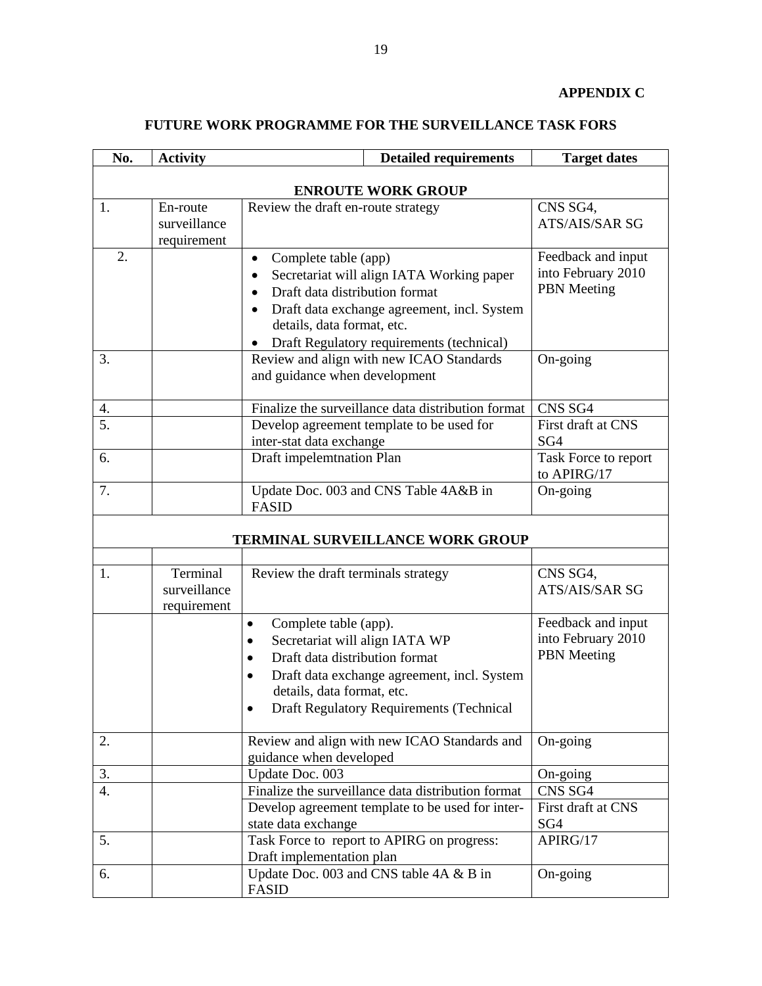# **APPENDIX C**

# **FUTURE WORK PROGRAMME FOR THE SURVEILLANCE TASK FORS**

| No.                       | <b>Activity</b>                         | <b>Detailed requirements</b>                                                                                                                                                                                                                                                  | <b>Target dates</b>                                            |  |  |  |  |
|---------------------------|-----------------------------------------|-------------------------------------------------------------------------------------------------------------------------------------------------------------------------------------------------------------------------------------------------------------------------------|----------------------------------------------------------------|--|--|--|--|
| <b>ENROUTE WORK GROUP</b> |                                         |                                                                                                                                                                                                                                                                               |                                                                |  |  |  |  |
| 1.                        | En-route<br>surveillance<br>requirement | Review the draft en-route strategy                                                                                                                                                                                                                                            | CNS SG4,<br>ATS/AIS/SAR SG                                     |  |  |  |  |
| 2.                        |                                         | Complete table (app)<br>$\bullet$<br>Secretariat will align IATA Working paper<br>Draft data distribution format<br>$\bullet$<br>Draft data exchange agreement, incl. System<br>$\bullet$<br>details, data format, etc.<br>Draft Regulatory requirements (technical)          | Feedback and input<br>into February 2010<br><b>PBN</b> Meeting |  |  |  |  |
| 3.                        |                                         | Review and align with new ICAO Standards<br>and guidance when development                                                                                                                                                                                                     | On-going                                                       |  |  |  |  |
| 4.                        |                                         | Finalize the surveillance data distribution format                                                                                                                                                                                                                            | CNS SG4                                                        |  |  |  |  |
| $\overline{5}$ .          |                                         | Develop agreement template to be used for<br>inter-stat data exchange                                                                                                                                                                                                         | First draft at CNS<br>SG4                                      |  |  |  |  |
| 6.                        |                                         | Draft impelemtnation Plan                                                                                                                                                                                                                                                     | Task Force to report<br>to APIRG/17                            |  |  |  |  |
| 7.                        |                                         | Update Doc. 003 and CNS Table 4A&B in<br><b>FASID</b>                                                                                                                                                                                                                         | On-going                                                       |  |  |  |  |
|                           |                                         | TERMINAL SURVEILLANCE WORK GROUP                                                                                                                                                                                                                                              |                                                                |  |  |  |  |
| 1.                        | Terminal<br>surveillance<br>requirement | Review the draft terminals strategy                                                                                                                                                                                                                                           | CNS SG4,<br>ATS/AIS/SAR SG                                     |  |  |  |  |
|                           |                                         | Complete table (app).<br>$\bullet$<br>Secretariat will align IATA WP<br>$\bullet$<br>Draft data distribution format<br>$\bullet$<br>Draft data exchange agreement, incl. System<br>$\bullet$<br>details, data format, etc.<br><b>Draft Regulatory Requirements (Technical</b> | Feedback and input<br>into February 2010<br><b>PBN</b> Meeting |  |  |  |  |
| 2.                        |                                         | Review and align with new ICAO Standards and<br>guidance when developed                                                                                                                                                                                                       | On-going                                                       |  |  |  |  |
| 3.                        |                                         | Update Doc. 003                                                                                                                                                                                                                                                               | On-going                                                       |  |  |  |  |
| $\overline{4}$ .          |                                         | Finalize the surveillance data distribution format<br>Develop agreement template to be used for inter-<br>state data exchange                                                                                                                                                 | CNS SG4<br>First draft at CNS<br>SG4                           |  |  |  |  |
| 5.                        |                                         | Task Force to report to APIRG on progress:<br>Draft implementation plan                                                                                                                                                                                                       | APIRG/17                                                       |  |  |  |  |
| 6.                        |                                         | Update Doc. 003 and CNS table 4A & B in<br><b>FASID</b>                                                                                                                                                                                                                       | On-going                                                       |  |  |  |  |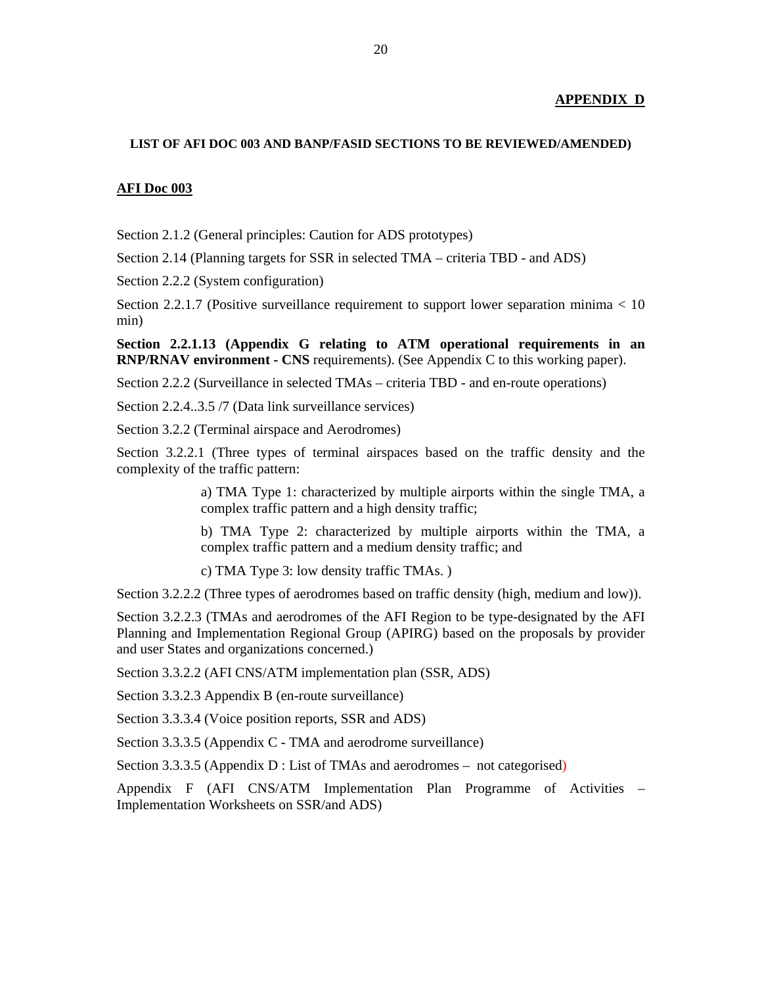#### **APPENDIX D**

#### **LIST OF AFI DOC 003 AND BANP/FASID SECTIONS TO BE REVIEWED/AMENDED)**

#### **AFI Doc 003**

Section 2.1.2 (General principles: Caution for ADS prototypes)

Section 2.14 (Planning targets for SSR in selected TMA – criteria TBD - and ADS)

Section 2.2.2 (System configuration)

Section 2.2.1.7 (Positive surveillance requirement to support lower separation minima  $< 10$ min)

**Section 2.2.1.13 (Appendix G relating to ATM operational requirements in an RNP/RNAV environment - CNS** requirements). (See Appendix C to this working paper).

Section 2.2.2 (Surveillance in selected TMAs – criteria TBD - and en-route operations)

Section 2.2.4..3.5 /7 (Data link surveillance services)

Section 3.2.2 (Terminal airspace and Aerodromes)

Section 3.2.2.1 (Three types of terminal airspaces based on the traffic density and the complexity of the traffic pattern:

> a) TMA Type 1: characterized by multiple airports within the single TMA, a complex traffic pattern and a high density traffic;

> b) TMA Type 2: characterized by multiple airports within the TMA, a complex traffic pattern and a medium density traffic; and

c) TMA Type 3: low density traffic TMAs. )

Section 3.2.2.2 (Three types of aerodromes based on traffic density (high, medium and low)).

Section 3.2.2.3 (TMAs and aerodromes of the AFI Region to be type-designated by the AFI Planning and Implementation Regional Group (APIRG) based on the proposals by provider and user States and organizations concerned.)

Section 3.3.2.2 (AFI CNS/ATM implementation plan (SSR, ADS)

Section 3.3.2.3 Appendix B (en-route surveillance)

Section 3.3.3.4 (Voice position reports, SSR and ADS)

Section 3.3.3.5 (Appendix C - TMA and aerodrome surveillance)

Section 3.3.3.5 (Appendix D : List of TMAs and aerodromes – not categorised)

Appendix F (AFI CNS/ATM Implementation Plan Programme of Activities – Implementation Worksheets on SSR/and ADS)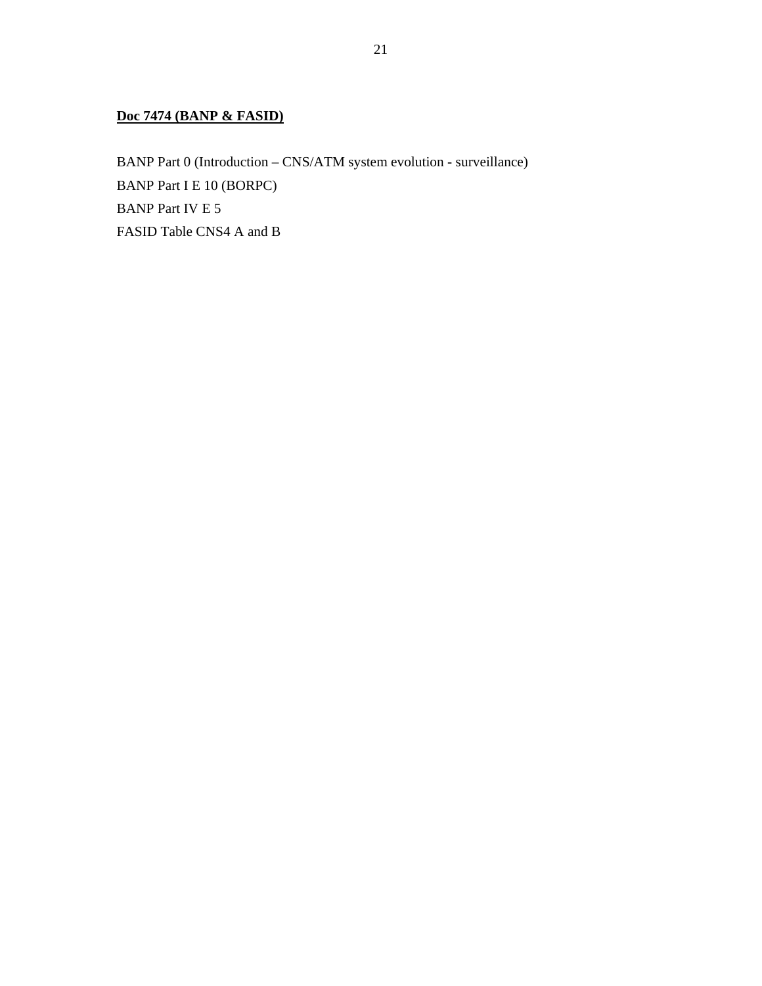## **Doc 7474 (BANP & FASID)**

BANP Part 0 (Introduction – CNS/ATM system evolution - surveillance) BANP Part I E 10 (BORPC) BANP Part IV E 5 FASID Table CNS4 A and B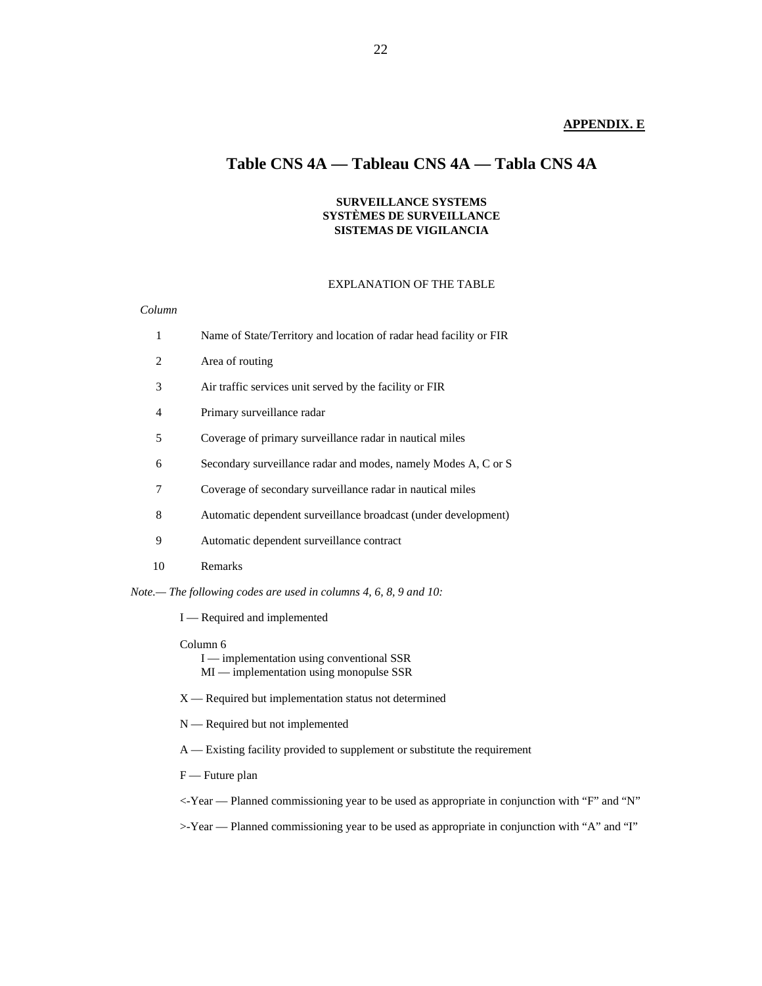### **APPENDIX. E**

# **Table CNS 4A — Tableau CNS 4A — Tabla CNS 4A**

#### **SURVEILLANCE SYSTEMS SYSTÈMES DE SURVEILLANCE SISTEMAS DE VIGILANCIA**

#### EXPLANATION OF THE TABLE

#### *Column*

| 1 |    | Name of State/Territory and location of radar head facility or FIR |
|---|----|--------------------------------------------------------------------|
|   | 2  | Area of routing                                                    |
| 3 |    | Air traffic services unit served by the facility or FIR            |
| 4 |    | Primary surveillance radar                                         |
| 5 |    | Coverage of primary surveillance radar in nautical miles           |
| 6 |    | Secondary surveillance radar and modes, namely Modes A, C or S     |
| 7 |    | Coverage of secondary surveillance radar in nautical miles         |
| 8 |    | Automatic dependent surveillance broadcast (under development)     |
| 9 |    | Automatic dependent surveillance contract                          |
|   | 10 | Remarks                                                            |
|   |    |                                                                    |

*Note.— The following codes are used in columns 4, 6, 8, 9 and 10:*

I — Required and implemented

Column 6

I — implementation using conventional SSR MI — implementation using monopulse SSR

X — Required but implementation status not determined

N — Required but not implemented

A — Existing facility provided to supplement or substitute the requirement

F — Future plan

<-Year — Planned commissioning year to be used as appropriate in conjunction with "F" and "N"

>-Year — Planned commissioning year to be used as appropriate in conjunction with "A" and "I"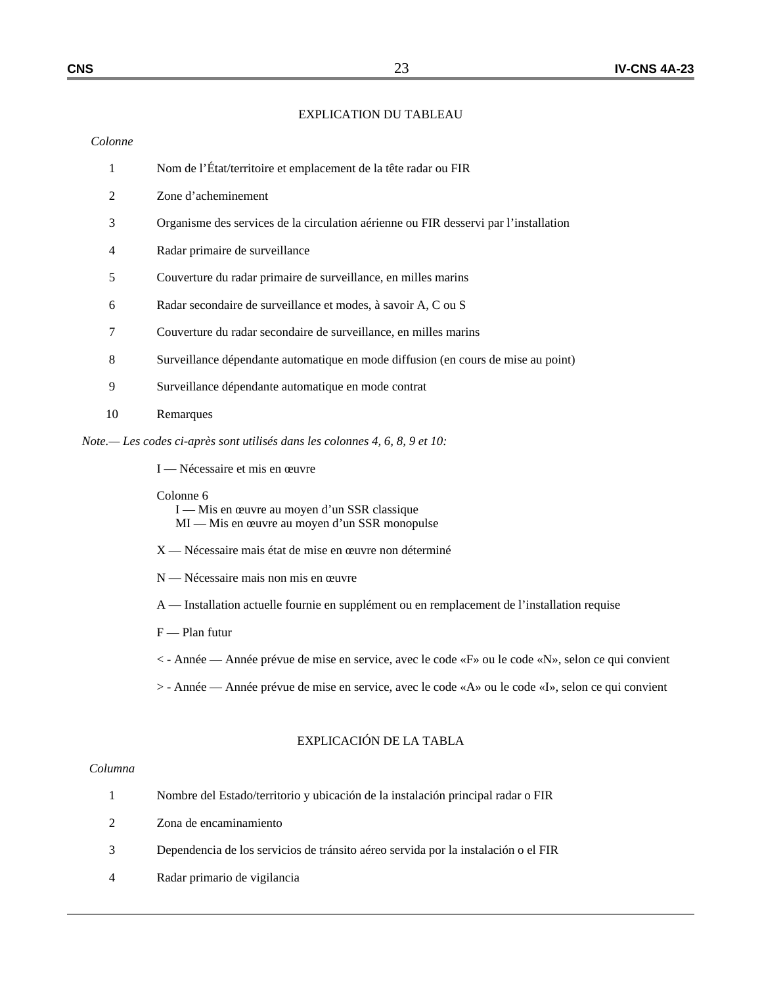#### EXPLICATION DU TABLEAU

#### *Colonne*

- 1 Nom de l'État/territoire et emplacement de la tête radar ou FIR
- 2 Zone d'acheminement
- 3 Organisme des services de la circulation aérienne ou FIR desservi par l'installation
- 4 Radar primaire de surveillance
- 5 Couverture du radar primaire de surveillance, en milles marins
- 6 Radar secondaire de surveillance et modes, à savoir A, C ou S
- 7 Couverture du radar secondaire de surveillance, en milles marins
- 8 Surveillance dépendante automatique en mode diffusion (en cours de mise au point)
- 9 Surveillance dépendante automatique en mode contrat
- 10 Remarques

*Note.— Les codes ci-après sont utilisés dans les colonnes 4, 6, 8, 9 et 10:*

I — Nécessaire et mis en œuvre

Colonne 6

 I — Mis en œuvre au moyen d'un SSR classique MI — Mis en œuvre au moyen d'un SSR monopulse

- X Nécessaire mais état de mise en œuvre non déterminé
- N Nécessaire mais non mis en œuvre
- A Installation actuelle fournie en supplément ou en remplacement de l'installation requise
- F Plan futur
- < Année Année prévue de mise en service, avec le code «F» ou le code «N», selon ce qui convient
- > Année Année prévue de mise en service, avec le code «A» ou le code «I», selon ce qui convient

### EXPLICACIÓN DE LA TABLA

#### *Columna*

|   | Nombre del Estado/territorio y ubicación de la instalación principal radar o FIR   |
|---|------------------------------------------------------------------------------------|
| 2 | Zona de encaminamiento                                                             |
| 3 | Dependencia de los servicios de tránsito aéreo servida por la instalación o el FIR |
| 4 | Radar primario de vigilancia                                                       |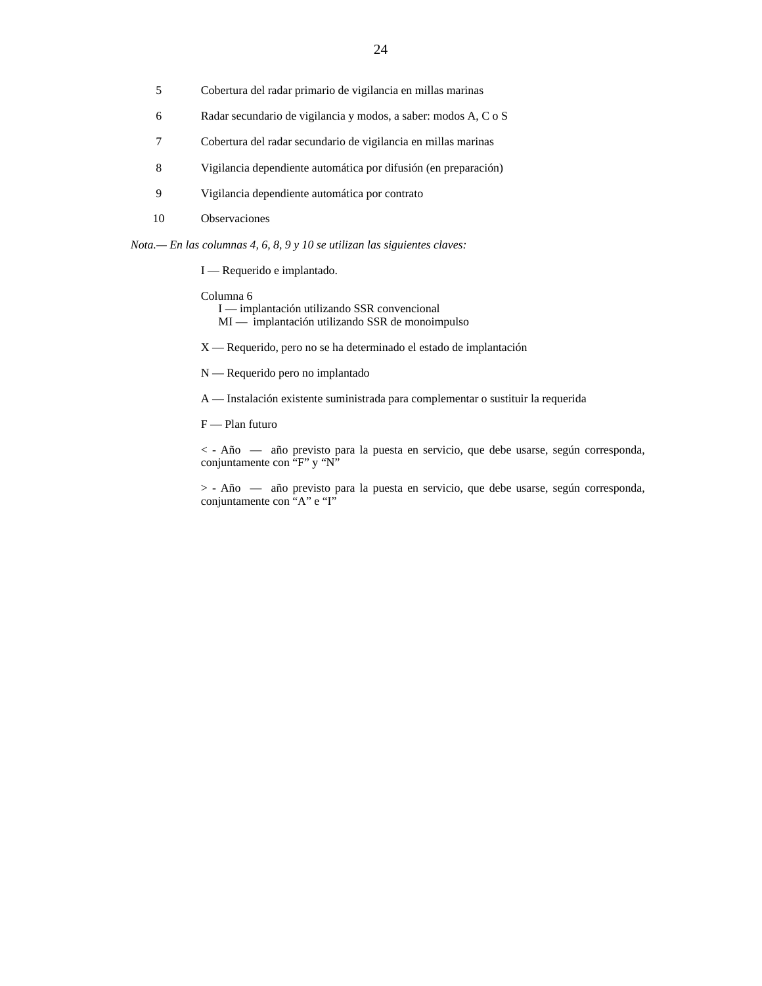- 5 Cobertura del radar primario de vigilancia en millas marinas
- 6 Radar secundario de vigilancia y modos, a saber: modos A, C o S
- 7 Cobertura del radar secundario de vigilancia en millas marinas
- 8 Vigilancia dependiente automática por difusión (en preparación)
- 9 Vigilancia dependiente automática por contrato
- 10 Observaciones

*Nota.— En las columnas 4, 6, 8, 9 y 10 se utilizan las siguientes claves:*

I — Requerido e implantado.

#### Columna 6

- I implantación utilizando SSR convencional MI — implantación utilizando SSR de monoimpulso
- X Requerido, pero no se ha determinado el estado de implantación
- N Requerido pero no implantado
- A Instalación existente suministrada para complementar o sustituir la requerida
- F Plan futuro

 < - Año — año previsto para la puesta en servicio, que debe usarse, según corresponda, conjuntamente con "F" y "N"

 > - Año — año previsto para la puesta en servicio, que debe usarse, según corresponda, conjuntamente con "A" e "I"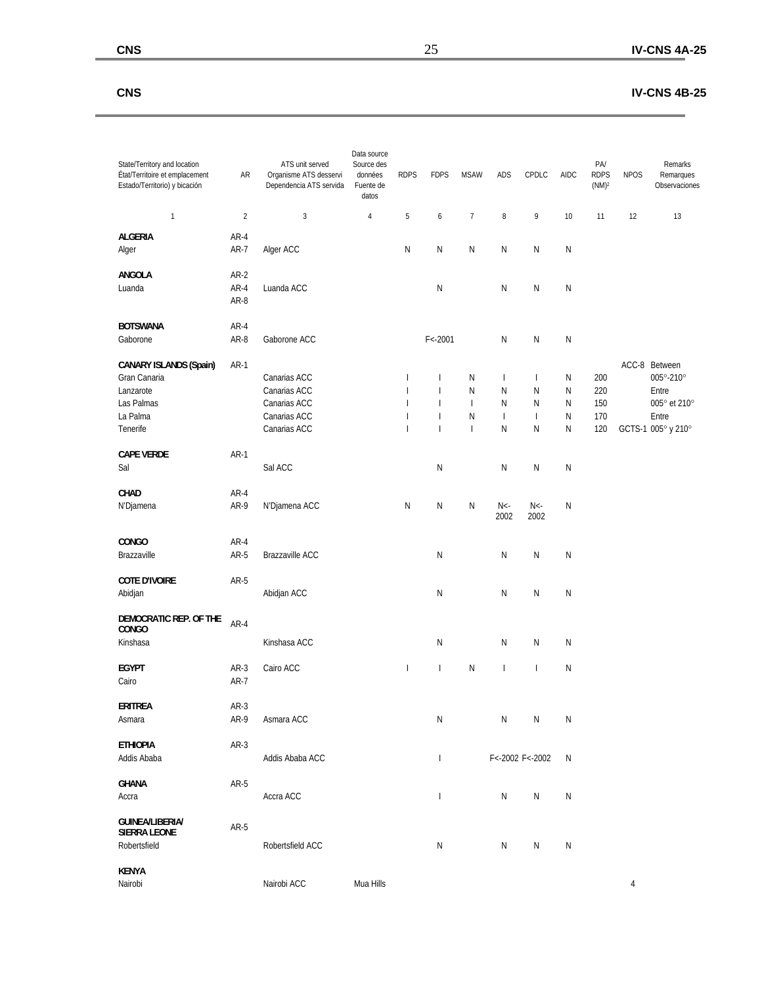### **CNS IV-CNS 4B-25**

÷,

| State/Territory and location<br>État/Territoire et emplacement<br>Estado/Territorio) y bicación  | AR                     | ATS unit served<br>Organisme ATS desservi<br>Dependencia ATS servida         | Data source<br>Source des<br>données<br>Fuente de<br>datos | <b>RDPS</b>                                                                                  | <b>FDPS</b>                                                                                                | <b>MSAW</b>                                               | <b>ADS</b>                                              | CPDLC                                                   | <b>AIDC</b>                   | PA/<br><b>RDPS</b><br>(NM) <sup>2</sup> | <b>NPOS</b> | Remarks<br>Remarques<br>Observaciones                                              |
|--------------------------------------------------------------------------------------------------|------------------------|------------------------------------------------------------------------------|------------------------------------------------------------|----------------------------------------------------------------------------------------------|------------------------------------------------------------------------------------------------------------|-----------------------------------------------------------|---------------------------------------------------------|---------------------------------------------------------|-------------------------------|-----------------------------------------|-------------|------------------------------------------------------------------------------------|
| $\mathbf{1}$                                                                                     | $\overline{c}$         | $\sqrt{3}$                                                                   | $\overline{4}$                                             | 5                                                                                            | $\boldsymbol{6}$                                                                                           | $\boldsymbol{7}$                                          | $\, 8$                                                  | 9                                                       | 10                            | 11                                      | 12          | 13                                                                                 |
| <b>ALGERIA</b><br>Alger                                                                          | $AR-4$<br>AR-7         | Alger ACC                                                                    |                                                            | N                                                                                            | N                                                                                                          | N                                                         | N                                                       | N                                                       | N                             |                                         |             |                                                                                    |
| <b>ANGOLA</b><br>Luanda                                                                          | $AR-2$<br>AR-4<br>AR-8 | Luanda ACC                                                                   |                                                            |                                                                                              | N                                                                                                          |                                                           | N                                                       | ${\sf N}$                                               | N                             |                                         |             |                                                                                    |
| <b>BOTSWANA</b><br>Gaborone                                                                      | AR-4<br>AR-8           | Gaborone ACC                                                                 |                                                            |                                                                                              | $F < -2001$                                                                                                |                                                           | N                                                       | N                                                       | N                             |                                         |             |                                                                                    |
| <b>CANARY ISLANDS (Spain)</b><br>Gran Canaria<br>Lanzarote<br>Las Palmas<br>La Palma<br>Tenerife | $AR-1$                 | Canarias ACC<br>Canarias ACC<br>Canarias ACC<br>Canarias ACC<br>Canarias ACC |                                                            | $\overline{\phantom{a}}$<br>$\mathbf{I}$<br>$\overline{1}$<br>$\mathbf{I}$<br>$\overline{1}$ | $\overline{\phantom{a}}$<br>$\overline{1}$<br>$\overline{\phantom{a}}$<br>$\overline{1}$<br>$\overline{1}$ | N<br>N<br>$\overline{\phantom{a}}$<br>N<br>$\overline{1}$ | $\mathbf{I}$<br>N<br>N<br>$\overline{\phantom{a}}$<br>N | $\mathbf{I}$<br>N<br>N<br>$\overline{\phantom{a}}$<br>N | N<br>N<br>N<br>${\sf N}$<br>N | 200<br>220<br>150<br>170<br>120         |             | ACC-8 Between<br>005°-210°<br>Entre<br>005° et 210°<br>Entre<br>GCTS-1 005° y 210° |
| <b>CAPE VERDE</b><br>Sal                                                                         | $AR-1$                 | Sal ACC                                                                      |                                                            |                                                                                              | N                                                                                                          |                                                           | N                                                       | ${\sf N}$                                               | $\mathsf{N}$                  |                                         |             |                                                                                    |
| CHAD<br>N'Djamena                                                                                | $AR-4$<br>AR-9         | N'Djamena ACC                                                                |                                                            | ${\sf N}$                                                                                    | N                                                                                                          | N                                                         | $N<$ -<br>2002                                          | $N<$ -<br>2002                                          | $\mathsf{N}$                  |                                         |             |                                                                                    |
| <b>CONGO</b><br>Brazzaville                                                                      | $AR-4$<br>AR-5         | Brazzaville ACC                                                              |                                                            |                                                                                              | N                                                                                                          |                                                           | N                                                       | ${\sf N}$                                               | N                             |                                         |             |                                                                                    |
| <b>COTE D'IVOIRE</b><br>Abidjan                                                                  | AR-5                   | Abidjan ACC                                                                  |                                                            |                                                                                              | N                                                                                                          |                                                           | N                                                       | N                                                       | N                             |                                         |             |                                                                                    |
| DEMOCRATIC REP. OF THE<br><b>CONGO</b><br>Kinshasa                                               | $AR-4$                 | Kinshasa ACC                                                                 |                                                            |                                                                                              | N                                                                                                          |                                                           | N                                                       | N                                                       | N                             |                                         |             |                                                                                    |
| <b>EGYPT</b><br>Cairo                                                                            | $AR-3$<br>AR-7         | Cairo ACC                                                                    |                                                            | $\overline{1}$                                                                               | $\overline{\phantom{a}}$                                                                                   | $\mathsf{N}$                                              | $\overline{1}$                                          | $\mathbf{I}$                                            | N                             |                                         |             |                                                                                    |
| ERITREA<br>Asmara                                                                                | AR-3<br>AR-9           | Asmara ACC                                                                   |                                                            |                                                                                              | N                                                                                                          |                                                           | Ν                                                       | N                                                       | N                             |                                         |             |                                                                                    |
| <b>ETHIOPIA</b><br>Addis Ababa                                                                   | AR-3                   | Addis Ababa ACC                                                              |                                                            |                                                                                              | $\overline{\phantom{a}}$                                                                                   |                                                           |                                                         | F<-2002 F<-2002                                         | N                             |                                         |             |                                                                                    |
| <b>GHANA</b><br>Accra                                                                            | AR-5                   | Accra ACC                                                                    |                                                            |                                                                                              | $\overline{\phantom{a}}$                                                                                   |                                                           | ${\sf N}$                                               | ${\sf N}$                                               | N                             |                                         |             |                                                                                    |
| <b>GUINEA/LIBERIA/</b><br><b>SIERRA LEONE</b><br>Robertsfield                                    | $AR-5$                 | Robertsfield ACC                                                             |                                                            |                                                                                              | N                                                                                                          |                                                           | N                                                       | N                                                       | N                             |                                         |             |                                                                                    |
| <b>KENYA</b><br>Nairobi                                                                          |                        | Nairobi ACC                                                                  | Mua Hills                                                  |                                                                                              |                                                                                                            |                                                           |                                                         |                                                         |                               |                                         | 4           |                                                                                    |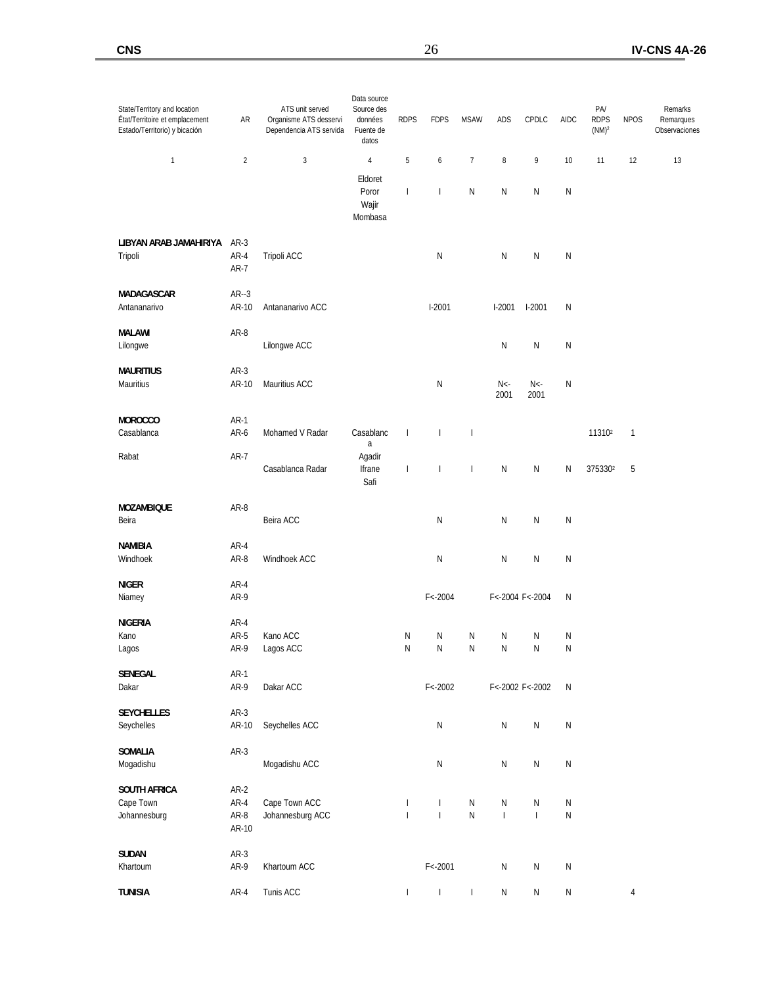| State/Territory and location<br>État/Territoire et emplacement<br>Estado/Territorio) y bicación | AR                    | ATS unit served<br>Organisme ATS desservi<br>Dependencia ATS servida | Data source<br>Source des<br>données<br>Fuente de<br>datos | <b>RDPS</b>                  | <b>FDPS</b>                  | <b>MSAW</b>              | ADS                                                | CPDLC                                      | AIDC                   | PA/<br><b>RDPS</b><br>(NM) <sup>2</sup> | <b>NPOS</b> | Remarks<br>Remarques<br>Observaciones |
|-------------------------------------------------------------------------------------------------|-----------------------|----------------------------------------------------------------------|------------------------------------------------------------|------------------------------|------------------------------|--------------------------|----------------------------------------------------|--------------------------------------------|------------------------|-----------------------------------------|-------------|---------------------------------------|
| 1                                                                                               | $\overline{2}$        | 3                                                                    | 4                                                          | 5                            | 6                            | $\boldsymbol{7}$         | $\,$ 8 $\,$                                        | 9                                          | 10                     | 11                                      | 12          | 13                                    |
|                                                                                                 |                       |                                                                      | Eldoret<br>Poror<br>Wajir<br>Mombasa                       | $\overline{\phantom{a}}$     | I                            | $\mathsf{N}$             | N                                                  | Ν                                          | N                      |                                         |             |                                       |
| LIBYAN ARAB JAMAHIRIYA<br>Tripoli                                                               | AR-3<br>AR-4<br>AR-7  | Tripoli ACC                                                          |                                                            |                              | $\mathsf{N}$                 |                          | N                                                  | Ν                                          | N                      |                                         |             |                                       |
| MADAGASCAR<br>Antananarivo                                                                      | $AR-3$<br>AR-10       | Antananarivo ACC                                                     |                                                            |                              | $1-2001$                     |                          | $1-2001$                                           | $1-2001$                                   | N                      |                                         |             |                                       |
| MALAWI<br>Lilongwe                                                                              | AR-8                  | Lilongwe ACC                                                         |                                                            |                              |                              |                          | N                                                  | N                                          | N                      |                                         |             |                                       |
| <b>MAURITIUS</b><br>Mauritius                                                                   | AR-3<br>AR-10         | Mauritius ACC                                                        |                                                            |                              | N                            |                          | $N<$ -<br>2001                                     | $N<$ -<br>2001                             | N                      |                                         |             |                                       |
| <b>MOROCCO</b><br>Casablanca                                                                    | $AR-1$<br>AR-6        | Mohamed V Radar                                                      | Casablanc<br>a                                             | $\overline{\phantom{a}}$     | $\overline{\phantom{a}}$     | $\overline{\phantom{a}}$ |                                                    |                                            |                        | 11310 <sup>2</sup>                      | 1           |                                       |
| Rabat                                                                                           | AR-7                  | Casablanca Radar                                                     | Agadir<br>Ifrane<br>Safi                                   | $\mathsf{I}$                 | I                            | $\overline{\phantom{a}}$ | N                                                  | N                                          | Ν                      | 3753302                                 | 5           |                                       |
| <b>MOZAMBIQUE</b><br>Beira                                                                      | AR-8                  | Beira ACC                                                            |                                                            |                              | N                            |                          | N                                                  | N                                          | N                      |                                         |             |                                       |
| <b>NAMIBIA</b><br>Windhoek                                                                      | AR-4<br>AR-8          | Windhoek ACC                                                         |                                                            |                              | N                            |                          | N                                                  | N                                          | N                      |                                         |             |                                       |
| <b>NIGER</b><br>Niamey                                                                          | AR-4<br>AR-9          |                                                                      |                                                            |                              | $F < -2004$                  |                          |                                                    | F<-2004 F<-2004                            | N                      |                                         |             |                                       |
| <b>NIGERIA</b>                                                                                  | AR-4                  |                                                                      |                                                            |                              |                              |                          |                                                    |                                            |                        |                                         |             |                                       |
| Kano<br>Lagos                                                                                   | AR-5<br>AR-9          | Kano ACC<br>Lagos ACC                                                |                                                            | N<br>N                       | Ν<br>Ν                       | N<br>N                   | N<br>N                                             | Ν<br>N                                     | N<br>N                 |                                         |             |                                       |
| SENEGAL<br>Dakar                                                                                | $AR-1$<br>AR-9        | Dakar ACC                                                            |                                                            |                              | $F < -2002$                  |                          |                                                    | F<-2002 F<-2002                            | ${\sf N}$              |                                         |             |                                       |
| <b>SEYCHELLES</b><br>Seychelles                                                                 | $AR-3$<br>AR-10       | Seychelles ACC                                                       |                                                            |                              | $\mathsf{N}$                 |                          | $\mathsf{N}$                                       | N                                          | ${\sf N}$              |                                         |             |                                       |
| SOMALIA<br>Mogadishu                                                                            | $AR-3$                | Mogadishu ACC                                                        |                                                            |                              | ${\sf N}$                    |                          | ${\sf N}$                                          | Ν                                          | ${\sf N}$              |                                         |             |                                       |
| <b>SOUTH AFRICA</b>                                                                             | $AR-2$                |                                                                      |                                                            |                              |                              |                          |                                                    |                                            |                        |                                         |             |                                       |
| Cape Town<br>Johannesburg                                                                       | AR-4<br>AR-8<br>AR-10 | Cape Town ACC<br>Johannesburg ACC                                    |                                                            | $\mathbf{I}$<br>$\mathbf{I}$ | $\mathbf{I}$<br>$\mathbf{I}$ | ${\sf N}$<br>${\sf N}$   | ${\sf N}$<br>$\begin{array}{c} \hline \end{array}$ | Ν<br>$\begin{array}{c} \hline \end{array}$ | ${\sf N}$<br>${\sf N}$ |                                         |             |                                       |
| <b>SUDAN</b><br>Khartoum                                                                        | $AR-3$<br>AR-9        | Khartoum ACC                                                         |                                                            |                              | $F < -2001$                  |                          | $\mathsf{N}$                                       | ${\sf N}$                                  | ${\sf N}$              |                                         |             |                                       |
| <b>TUNISIA</b>                                                                                  | AR-4                  | Tunis ACC                                                            |                                                            | $\overline{\phantom{a}}$     | $\overline{\phantom{a}}$     | $\mathbf{I}$             | ${\sf N}$                                          | Ν                                          | ${\sf N}$              |                                         | 4           |                                       |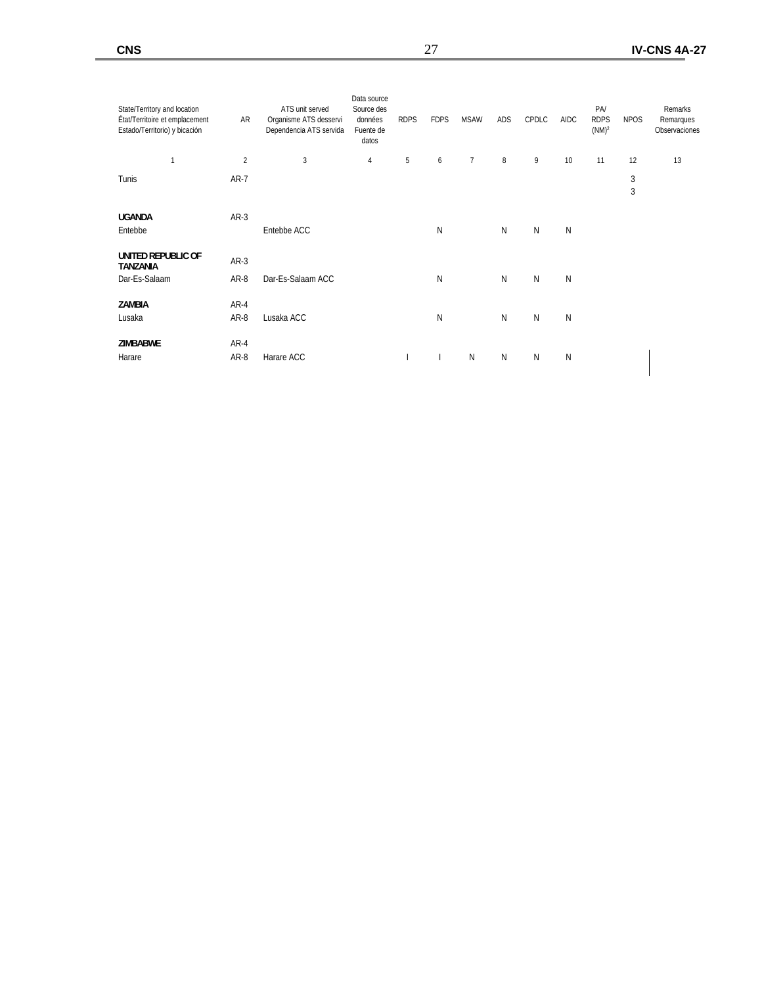| State/Territory and location<br>État/Territoire et emplacement<br>Estado/Territorio) y bicación | AR           | ATS unit served<br>Organisme ATS desservi<br>Dependencia ATS servida | Data source<br>Source des<br>données<br>Fuente de<br>datos | <b>RDPS</b> | <b>FDPS</b> | <b>MSAW</b>     | ADS    | CPDLC     | <b>AIDC</b> | PA<br><b>RDPS</b><br>(NM) <sup>2</sup> | <b>NPOS</b>     | Remarks<br>Remarques<br>Observaciones |
|-------------------------------------------------------------------------------------------------|--------------|----------------------------------------------------------------------|------------------------------------------------------------|-------------|-------------|-----------------|--------|-----------|-------------|----------------------------------------|-----------------|---------------------------------------|
| $\overline{1}$                                                                                  | $\sqrt{2}$   | 3                                                                    | 4                                                          | 5           | 6           | $7\overline{ }$ | $\, 8$ | 9         | 10          | 11                                     | 12              | 13                                    |
| Tunis                                                                                           | $AR-7$       |                                                                      |                                                            |             |             |                 |        |           |             |                                        | $\sqrt{3}$<br>3 |                                       |
| <b>UGANDA</b><br>Entebbe                                                                        | $AR-3$       | Entebbe ACC                                                          |                                                            |             | N           |                 | N      | N         | N           |                                        |                 |                                       |
| UNITED REPUBLIC OF<br><b>TANZANIA</b>                                                           | $AR-3$       |                                                                      |                                                            |             |             |                 |        |           |             |                                        |                 |                                       |
| Dar-Es-Salaam                                                                                   | AR-8         | Dar-Es-Salaam ACC                                                    |                                                            |             | N           |                 | N      | ${\sf N}$ | N           |                                        |                 |                                       |
| ZAMBIA<br>Lusaka                                                                                | AR-4<br>AR-8 | Lusaka ACC                                                           |                                                            |             | N           |                 | N      | ${\sf N}$ | N           |                                        |                 |                                       |
| <b>ZIMBABWE</b><br>Harare                                                                       | AR-4<br>AR-8 | Harare ACC                                                           |                                                            |             |             | $\mathsf{N}$    | N      | N         | N           |                                        |                 |                                       |
|                                                                                                 |              |                                                                      |                                                            |             |             |                 |        |           |             |                                        |                 |                                       |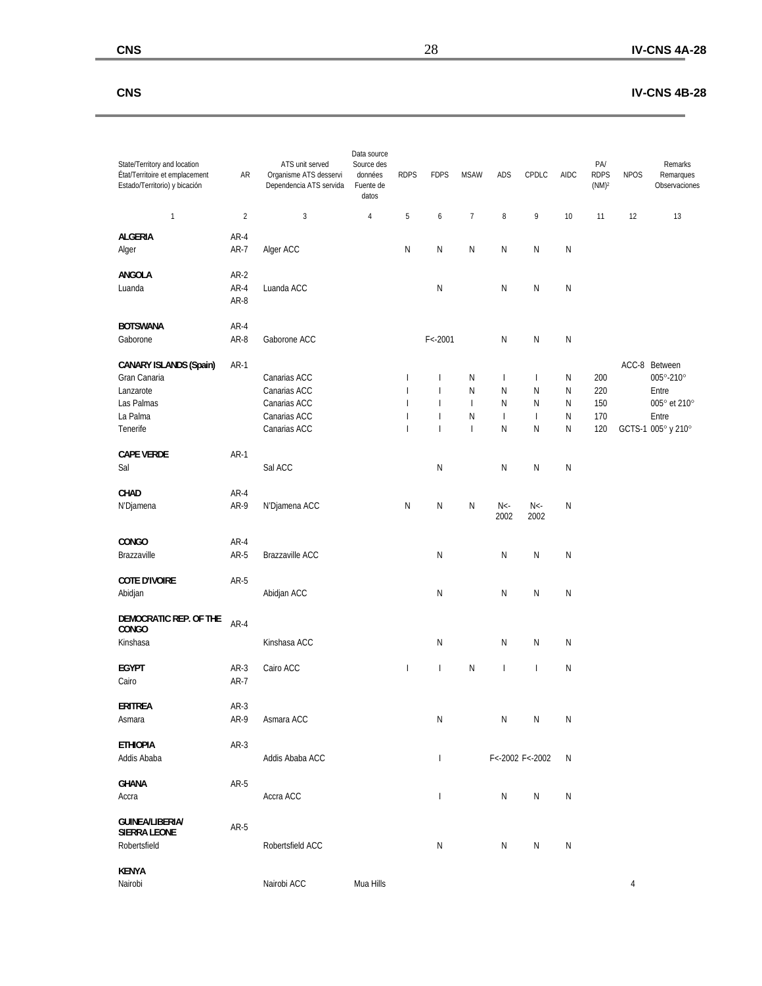### **CNS IV-CNS 4B-28**

÷,

| State/Territory and location<br>État/Territoire et emplacement<br>Estado/Territorio) y bicación  | AR                     | ATS unit served<br>Organisme ATS desservi<br>Dependencia ATS servida         | Data source<br>Source des<br>données<br>Fuente de<br>datos | <b>RDPS</b>                                                                                                | <b>FDPS</b>                                                                                                                    | <b>MSAW</b>                                                                    | <b>ADS</b>                                    | CPDLC                                                                       | AIDC                                          | PA/<br><b>RDPS</b><br>$(NM)^2$  | <b>NPOS</b> | Remarks<br>Remarques<br>Observaciones                                        |
|--------------------------------------------------------------------------------------------------|------------------------|------------------------------------------------------------------------------|------------------------------------------------------------|------------------------------------------------------------------------------------------------------------|--------------------------------------------------------------------------------------------------------------------------------|--------------------------------------------------------------------------------|-----------------------------------------------|-----------------------------------------------------------------------------|-----------------------------------------------|---------------------------------|-------------|------------------------------------------------------------------------------|
| $\mathbf{1}$                                                                                     | $\overline{2}$         | $\sqrt{3}$                                                                   | $\overline{4}$                                             | 5                                                                                                          | 6                                                                                                                              | $\overline{7}$                                                                 | $\, 8$                                        | 9                                                                           | 10                                            | 11                              | 12          | 13                                                                           |
| <b>ALGERIA</b><br>Alger                                                                          | $AR-4$<br>$AR-7$       | Alger ACC                                                                    |                                                            | N                                                                                                          | N                                                                                                                              | N                                                                              | N                                             | N                                                                           | ${\sf N}$                                     |                                 |             |                                                                              |
| ANGOLA<br>Luanda                                                                                 | AR-2<br>$AR-4$<br>AR-8 | Luanda ACC                                                                   |                                                            |                                                                                                            | ${\sf N}$                                                                                                                      |                                                                                | ${\sf N}$                                     | N                                                                           | N                                             |                                 |             |                                                                              |
| <b>BOTSWANA</b><br>Gaborone                                                                      | $AR-4$<br>AR-8         | Gaborone ACC                                                                 |                                                            |                                                                                                            | $F < -2001$                                                                                                                    |                                                                                | N                                             | N                                                                           | N                                             |                                 |             |                                                                              |
| <b>CANARY ISLANDS (Spain)</b><br>Gran Canaria<br>Lanzarote<br>Las Palmas<br>La Palma<br>Tenerife | $AR-1$                 | Canarias ACC<br>Canarias ACC<br>Canarias ACC<br>Canarias ACC<br>Canarias ACC |                                                            | $\overline{1}$<br>$\overline{\phantom{a}}$<br>$\overline{1}$<br>$\overline{\phantom{a}}$<br>$\overline{1}$ | $\overline{\phantom{a}}$<br>$\overline{\phantom{a}}$<br>$\overline{\phantom{a}}$<br>$\overline{\phantom{a}}$<br>$\overline{1}$ | N<br>N<br>$\begin{array}{c} \hline \end{array}$<br>${\sf N}$<br>$\overline{1}$ | $\mathbf{I}$<br>N<br>N<br>$\overline{1}$<br>N | $\overline{\phantom{a}}$<br>${\sf N}$<br>N<br>$\overline{\phantom{a}}$<br>N | N<br>${\sf N}$<br>${\sf N}$<br>${\sf N}$<br>N | 200<br>220<br>150<br>170<br>120 | ACC-8       | Between<br>005°-210°<br>Entre<br>005° et 210°<br>Entre<br>GCTS-1 005° y 210° |
| <b>CAPE VERDE</b><br>Sal                                                                         | $AR-1$                 | Sal ACC                                                                      |                                                            |                                                                                                            | N                                                                                                                              |                                                                                | N                                             | ${\sf N}$                                                                   | ${\sf N}$                                     |                                 |             |                                                                              |
| CHAD<br>N'Djamena                                                                                | AR-4<br>AR-9           | N'Djamena ACC                                                                |                                                            | $\mathsf{N}$                                                                                               | ${\sf N}$                                                                                                                      | N                                                                              | $N<$ -<br>2002                                | $N<$ -<br>2002                                                              | N                                             |                                 |             |                                                                              |
| CONGO<br>Brazzaville                                                                             | AR-4<br>AR-5           | Brazzaville ACC                                                              |                                                            |                                                                                                            | N                                                                                                                              |                                                                                | N                                             | N                                                                           | N                                             |                                 |             |                                                                              |
| <b>COTE D'IVOIRE</b><br>Abidjan                                                                  | AR-5                   | Abidjan ACC                                                                  |                                                            |                                                                                                            | N                                                                                                                              |                                                                                | N                                             | N                                                                           | N                                             |                                 |             |                                                                              |
| DEMOCRATIC REP. OF THE<br>CONGO<br>Kinshasa                                                      | $AR-4$                 | Kinshasa ACC                                                                 |                                                            |                                                                                                            | ${\sf N}$                                                                                                                      |                                                                                | N                                             | ${\sf N}$                                                                   | ${\sf N}$                                     |                                 |             |                                                                              |
| <b>EGYPT</b><br>Cairo                                                                            | $AR-3$<br>AR-7         | Cairo ACC                                                                    |                                                            | $\mathbf{I}$                                                                                               | $\overline{1}$                                                                                                                 | N                                                                              | $\overline{1}$                                | $\overline{1}$                                                              | N                                             |                                 |             |                                                                              |
| <b>ERITREA</b><br>Asmara                                                                         | AR-3<br>AR-9           | Asmara ACC                                                                   |                                                            |                                                                                                            | ${\sf N}$                                                                                                                      |                                                                                | ${\sf N}$                                     | N                                                                           | N                                             |                                 |             |                                                                              |
| <b>ETHIOPIA</b><br>Addis Ababa                                                                   | AR-3                   | Addis Ababa ACC                                                              |                                                            |                                                                                                            | $\overline{\phantom{a}}$                                                                                                       |                                                                                |                                               | F<-2002 F<-2002                                                             | N                                             |                                 |             |                                                                              |
| <b>GHANA</b><br>Accra                                                                            | $AR-5$                 | Accra ACC                                                                    |                                                            |                                                                                                            | $\overline{\phantom{a}}$                                                                                                       |                                                                                | ${\sf N}$                                     | ${\sf N}$                                                                   | N                                             |                                 |             |                                                                              |
| <b>GUINEA/LIBERIA/</b><br><b>SIERRA LEONE</b><br>Robertsfield                                    | AR-5                   | Robertsfield ACC                                                             |                                                            |                                                                                                            | ${\sf N}$                                                                                                                      |                                                                                | N                                             | N                                                                           | N                                             |                                 |             |                                                                              |
| <b>KENYA</b><br>Nairobi                                                                          |                        | Nairobi ACC                                                                  | Mua Hills                                                  |                                                                                                            |                                                                                                                                |                                                                                |                                               |                                                                             |                                               |                                 | 4           |                                                                              |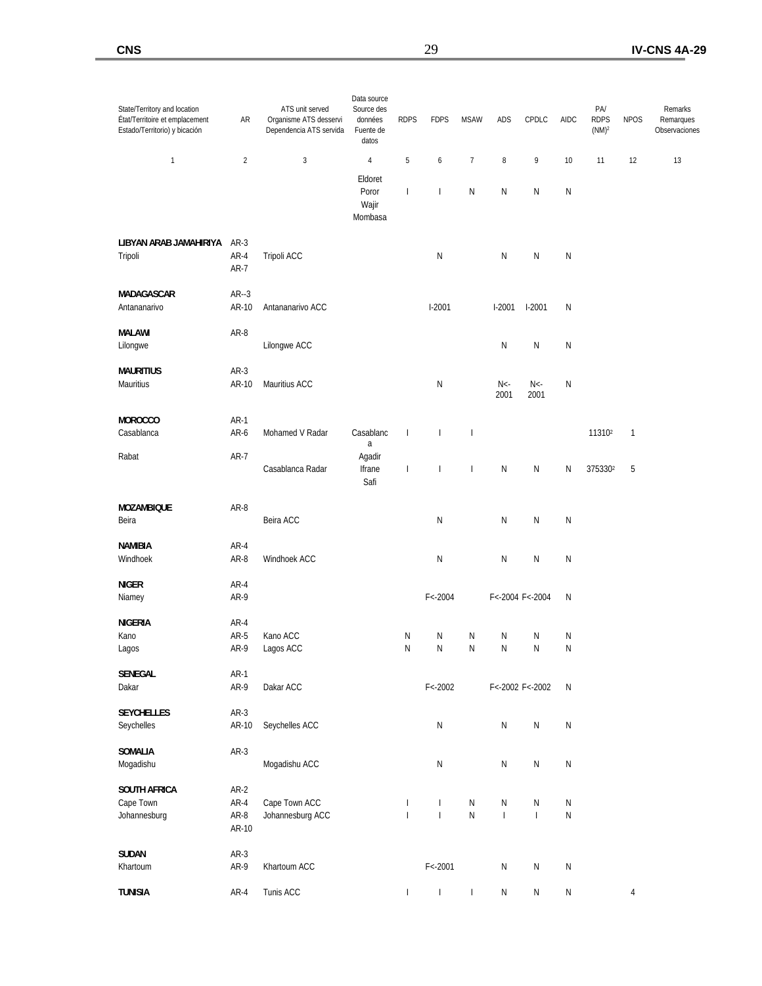| State/Territory and location<br>État/Territoire et emplacement<br>Estado/Territorio) y bicación | AR                    | ATS unit served<br>Organisme ATS desservi<br>Dependencia ATS servida | Data source<br>Source des<br>données<br>Fuente de<br>datos | <b>RDPS</b>                  | <b>FDPS</b>                  | <b>MSAW</b>              | ADS                         | CPDLC                                      | AIDC                   | PA/<br><b>RDPS</b><br>(NM) <sup>2</sup> | <b>NPOS</b> | Remarks<br>Remarques<br>Observaciones |
|-------------------------------------------------------------------------------------------------|-----------------------|----------------------------------------------------------------------|------------------------------------------------------------|------------------------------|------------------------------|--------------------------|-----------------------------|--------------------------------------------|------------------------|-----------------------------------------|-------------|---------------------------------------|
| 1                                                                                               | $\overline{2}$        | 3                                                                    | 4                                                          | 5                            | 6                            | $\boldsymbol{7}$         | $\,$ 8 $\,$                 | 9                                          | 10                     | 11                                      | 12          | 13                                    |
|                                                                                                 |                       |                                                                      | Eldoret<br>Poror<br>Wajir<br>Mombasa                       | $\overline{\phantom{a}}$     | I                            | $\mathsf{N}$             | N                           | Ν                                          | N                      |                                         |             |                                       |
| LIBYAN ARAB JAMAHIRIYA<br>Tripoli                                                               | AR-3<br>AR-4<br>AR-7  | Tripoli ACC                                                          |                                                            |                              | $\mathsf{N}$                 |                          | N                           | Ν                                          | N                      |                                         |             |                                       |
| MADAGASCAR<br>Antananarivo                                                                      | $AR-3$<br>AR-10       | Antananarivo ACC                                                     |                                                            |                              | $1-2001$                     |                          | $1-2001$                    | $1-2001$                                   | N                      |                                         |             |                                       |
| MALAWI<br>Lilongwe                                                                              | AR-8                  | Lilongwe ACC                                                         |                                                            |                              |                              |                          | N                           | N                                          | N                      |                                         |             |                                       |
| <b>MAURITIUS</b><br>Mauritius                                                                   | AR-3<br>AR-10         | Mauritius ACC                                                        |                                                            |                              | N                            |                          | $N<$ -<br>2001              | $N<$ -<br>2001                             | N                      |                                         |             |                                       |
| MOROCCO<br>Casablanca                                                                           | $AR-1$<br>AR-6        | Mohamed V Radar                                                      | Casablanc<br>a                                             | $\overline{\phantom{a}}$     | $\overline{\phantom{a}}$     | $\overline{\phantom{a}}$ |                             |                                            |                        | 11310 <sup>2</sup>                      | 1           |                                       |
| Rabat                                                                                           | AR-7                  | Casablanca Radar                                                     | Agadir<br>Ifrane<br>Safi                                   | $\mathsf{I}$                 | I                            | $\overline{\phantom{a}}$ | N                           | N                                          | Ν                      | 3753302                                 | 5           |                                       |
| <b>MOZAMBIQUE</b><br>Beira                                                                      | AR-8                  | Beira ACC                                                            |                                                            |                              | N                            |                          | N                           | N                                          | N                      |                                         |             |                                       |
| <b>NAMIBIA</b><br>Windhoek                                                                      | AR-4<br>AR-8          | Windhoek ACC                                                         |                                                            |                              | N                            |                          | N                           | N                                          | N                      |                                         |             |                                       |
| <b>NIGER</b><br>Niamey                                                                          | AR-4<br>AR-9          |                                                                      |                                                            |                              | $F < -2004$                  |                          |                             | F<-2004 F<-2004                            | N                      |                                         |             |                                       |
| <b>NIGERIA</b>                                                                                  | AR-4                  |                                                                      |                                                            |                              |                              |                          |                             |                                            |                        |                                         |             |                                       |
| Kano<br>Lagos                                                                                   | AR-5<br>AR-9          | Kano ACC<br>Lagos ACC                                                |                                                            | N<br>N                       | Ν<br>Ν                       | N<br>N                   | N<br>N                      | Ν<br>N                                     | N<br>N                 |                                         |             |                                       |
| SENEGAL<br>Dakar                                                                                | $AR-1$<br>AR-9        | Dakar ACC                                                            |                                                            |                              | $F < -2002$                  |                          |                             | F<-2002 F<-2002                            | ${\sf N}$              |                                         |             |                                       |
| <b>SEYCHELLES</b><br>Seychelles                                                                 | $AR-3$<br>AR-10       | Seychelles ACC                                                       |                                                            |                              | $\mathsf{N}$                 |                          | $\mathsf{N}$                | N                                          | ${\sf N}$              |                                         |             |                                       |
| SOMALIA<br>Mogadishu                                                                            | $AR-3$                | Mogadishu ACC                                                        |                                                            |                              | ${\sf N}$                    |                          | ${\sf N}$                   | Ν                                          | ${\sf N}$              |                                         |             |                                       |
| <b>SOUTH AFRICA</b>                                                                             | $AR-2$                |                                                                      |                                                            |                              |                              |                          |                             |                                            |                        |                                         |             |                                       |
| Cape Town<br>Johannesburg                                                                       | AR-4<br>AR-8<br>AR-10 | Cape Town ACC<br>Johannesburg ACC                                    |                                                            | $\mathbf{I}$<br>$\mathbf{I}$ | $\mathbf{I}$<br>$\mathbf{I}$ | ${\sf N}$<br>${\sf N}$   | ${\sf N}$<br>$\overline{1}$ | Ν<br>$\begin{array}{c} \hline \end{array}$ | ${\sf N}$<br>${\sf N}$ |                                         |             |                                       |
| <b>SUDAN</b>                                                                                    | $AR-3$                |                                                                      |                                                            |                              |                              |                          |                             |                                            |                        |                                         |             |                                       |
| Khartoum                                                                                        | AR-9                  | Khartoum ACC                                                         |                                                            |                              | $F < -2001$                  |                          | $\mathsf{N}$                | ${\sf N}$                                  | ${\sf N}$              |                                         |             |                                       |
| <b>TUNISIA</b>                                                                                  | AR-4                  | Tunis ACC                                                            |                                                            | $\mathbf{I}$                 | $\overline{1}$               | $\overline{1}$           | ${\sf N}$                   | Ν                                          | ${\sf N}$              |                                         | 4           |                                       |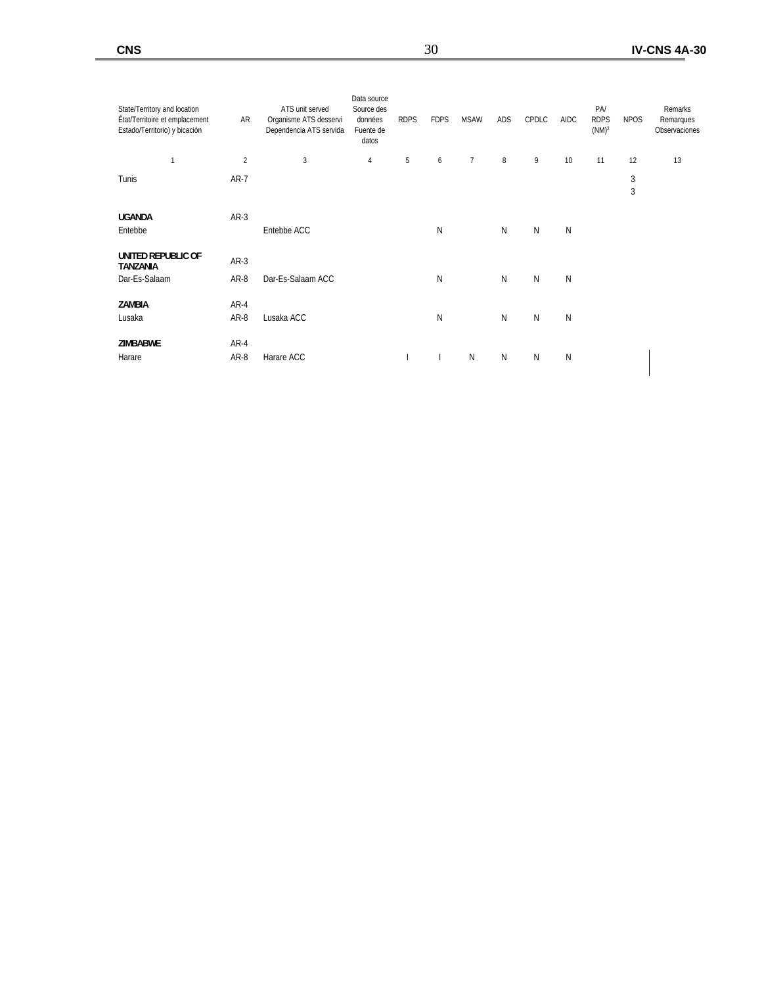| $\sqrt{2}$<br>3<br>$\, 8$<br>5<br>$7\overline{ }$<br>9<br>11<br>12<br>$\overline{1}$<br>6<br>10<br>4<br>$\sqrt{3}$<br>Tunis<br>$AR-7$<br>3<br><b>UGANDA</b><br>$AR-3$<br>N<br>N<br>N<br>Entebbe<br>Entebbe ACC<br>N<br>UNITED REPUBLIC OF<br>$AR-3$<br><b>TANZANIA</b><br>N<br>N<br>${\sf N}$<br>Dar-Es-Salaam<br>AR-8<br>Dar-Es-Salaam ACC<br>N | 13 |
|--------------------------------------------------------------------------------------------------------------------------------------------------------------------------------------------------------------------------------------------------------------------------------------------------------------------------------------------------|----|
|                                                                                                                                                                                                                                                                                                                                                  |    |
|                                                                                                                                                                                                                                                                                                                                                  |    |
|                                                                                                                                                                                                                                                                                                                                                  |    |
|                                                                                                                                                                                                                                                                                                                                                  |    |
|                                                                                                                                                                                                                                                                                                                                                  |    |
| ZAMBIA<br>AR-4<br>N<br>N<br>${\sf N}$<br>AR-8<br>N<br>Lusaka ACC<br>Lusaka                                                                                                                                                                                                                                                                       |    |
| <b>ZIMBABWE</b><br>AR-4<br>$\mathsf{N}$<br>N<br>N<br>N<br>Harare<br>AR-8<br>Harare ACC                                                                                                                                                                                                                                                           |    |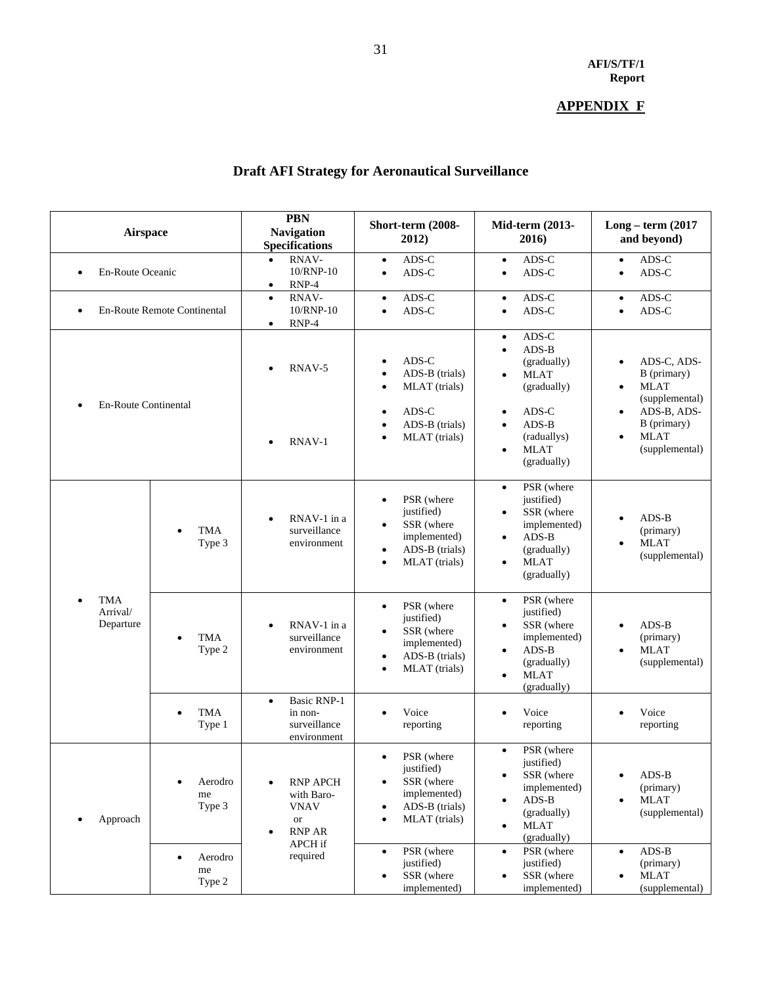# **APPENDIX F**

# **Draft AFI Strategy for Aeronautical Surveillance**

| <b>Airspace</b>                     |                             | <b>PBN</b><br><b>Navigation</b><br><b>Specifications</b>                                         | Short-term (2008-<br>2012)                                                                                                       | Mid-term (2013-<br>2016)                                                                                                                                           | $Long-term (2017)$<br>and beyond)                                                                                        |  |  |
|-------------------------------------|-----------------------------|--------------------------------------------------------------------------------------------------|----------------------------------------------------------------------------------------------------------------------------------|--------------------------------------------------------------------------------------------------------------------------------------------------------------------|--------------------------------------------------------------------------------------------------------------------------|--|--|
| En-Route Oceanic<br>$\bullet$       |                             | RNAV-<br>10/RNP-10<br>$RNP-4$<br>٠                                                               | ADS-C<br>$\bullet$<br>ADS-C<br>$\bullet$                                                                                         | ADS-C<br>$\bullet$<br>ADS-C<br>$\bullet$                                                                                                                           | ADS-C<br>$\bullet$<br>ADS-C<br>$\bullet$                                                                                 |  |  |
| ٠                                   | En-Route Remote Continental | RNAV-<br>$\bullet$<br>10/RNP-10<br>$RNP-4$<br>$\bullet$                                          | ADS-C<br>٠<br>ADS-C<br>$\bullet$                                                                                                 | ADS-C<br>$\bullet$<br>ADS-C<br>$\bullet$                                                                                                                           | ADS-C<br>$\bullet$<br>ADS-C<br>$\bullet$                                                                                 |  |  |
| <b>En-Route Continental</b>         |                             | RNAV-5<br>٠                                                                                      | ADS-C<br>ADS-B (trials)<br>MLAT (trials)<br>$\bullet$<br>ADS-C<br>ADS-B (trials)                                                 | ADS-C<br>$\bullet$<br>$ADS-B$<br>$\bullet$<br>(gradually)<br><b>MLAT</b><br>$\bullet$<br>(gradually)<br>ADS-C<br>$\bullet$<br>ADS-B<br>$\bullet$                   | ADS-C, ADS-<br>$\bullet$<br>B (primary)<br><b>MLAT</b><br>$\bullet$<br>(supplemental)<br>ADS-B, ADS-<br>٠<br>B (primary) |  |  |
|                                     |                             | RNAV-1                                                                                           | MLAT (trials)                                                                                                                    | (raduallys)<br><b>MLAT</b><br>$\bullet$<br>(gradually)                                                                                                             | <b>MLAT</b><br>$\bullet$<br>(supplemental)                                                                               |  |  |
|                                     | <b>TMA</b><br>Type 3        | RNAV-1 in a<br>$\bullet$<br>surveillance<br>environment                                          | PSR (where<br>justified)<br>SSR (where<br>$\bullet$<br>implemented)<br>ADS-B (trials)<br>$\bullet$<br>MLAT (trials)<br>$\bullet$ | PSR (where<br>$\bullet$<br>justified)<br>SSR (where<br>$\bullet$<br>implemented)<br>$ADS-B$<br>$\bullet$<br>(gradually)<br><b>MLAT</b><br>$\bullet$<br>(gradually) | $ADS-B$<br>(primary)<br><b>MLAT</b><br>$\bullet$<br>(supplemental)                                                       |  |  |
| <b>TMA</b><br>Arrival/<br>Departure | <b>TMA</b><br>Type 2        | RNAV-1 in a<br>surveillance<br>environment                                                       | PSR (where<br>$\bullet$<br>justified)<br>SSR (where<br>implemented)<br>ADS-B (trials)<br>٠<br>MLAT (trials)<br>$\bullet$         | PSR (where<br>$\bullet$<br>justified)<br>SSR (where<br>$\bullet$<br>implemented)<br>$ADS-B$<br>$\bullet$<br>(gradually)<br><b>MLAT</b><br>$\bullet$<br>(gradually) | $ADS-B$<br>$\bullet$<br>(primary)<br><b>MLAT</b><br>$\bullet$<br>(supplemental)                                          |  |  |
|                                     | <b>TMA</b><br>Type 1        | <b>Basic RNP-1</b><br>$\bullet$<br>in non-<br>surveillance<br>environment                        | Voice<br>reporting                                                                                                               | Voice<br>$\bullet$<br>reporting                                                                                                                                    | Voice<br>reporting                                                                                                       |  |  |
| Approach                            | Aerodro<br>me<br>Type 3     | <b>RNP APCH</b><br>$\bullet$<br>with Baro-<br><b>VNAV</b><br><b>or</b><br>RNP AR<br>٠<br>APCH if | PSR (where<br>$\bullet$<br>justified)<br>SSR (where<br>implemented)<br>ADS-B (trials)<br>MLAT (trials)                           | PSR (where<br>$\bullet$<br>justified)<br>SSR (where<br>$\bullet$<br>implemented)<br>$ADS-B$<br>$\bullet$<br>(gradually)<br><b>MLAT</b><br>$\bullet$<br>(gradually) | $ADS-B$<br>$\bullet$<br>(primary)<br><b>MLAT</b><br>$\bullet$<br>(supplemental)                                          |  |  |
|                                     | Aerodro<br>me<br>Type 2     | required                                                                                         | PSR (where<br>justified)<br>SSR (where<br>implemented)                                                                           | PSR (where<br>$\bullet$<br>justified)<br>SSR (where<br>$\bullet$<br>implemented)                                                                                   | $ADS-B$<br>$\bullet$<br>(primary)<br><b>MLAT</b><br>$\bullet$<br>(supplemental)                                          |  |  |